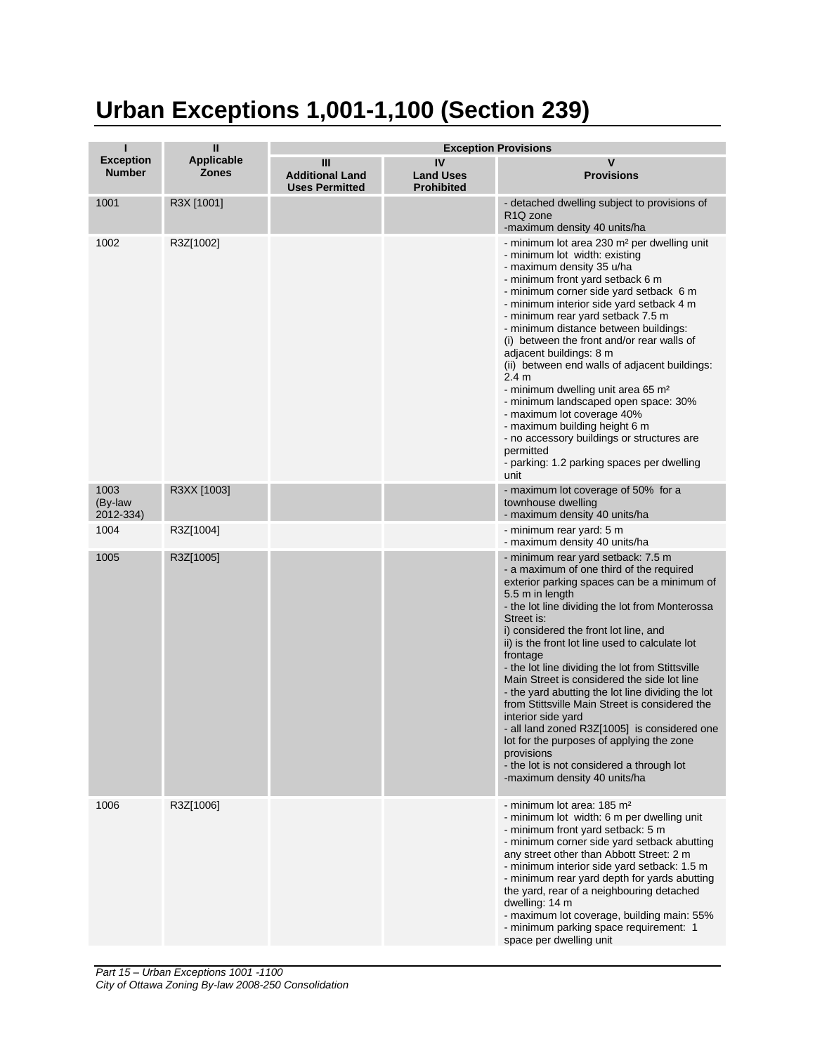## **Urban Exceptions 1,001-1,100 (Section 239)**

|                                   | Ш                                 | <b>Exception Provisions</b>                          |                                             |                                                                                                                                                                                                                                                                                                                                                                                                                                                                                                                                                                                                                                                                                                                                                       |  |
|-----------------------------------|-----------------------------------|------------------------------------------------------|---------------------------------------------|-------------------------------------------------------------------------------------------------------------------------------------------------------------------------------------------------------------------------------------------------------------------------------------------------------------------------------------------------------------------------------------------------------------------------------------------------------------------------------------------------------------------------------------------------------------------------------------------------------------------------------------------------------------------------------------------------------------------------------------------------------|--|
| <b>Exception</b><br><b>Number</b> | <b>Applicable</b><br><b>Zones</b> | Ш<br><b>Additional Land</b><br><b>Uses Permitted</b> | IV<br><b>Land Uses</b><br><b>Prohibited</b> | v<br><b>Provisions</b>                                                                                                                                                                                                                                                                                                                                                                                                                                                                                                                                                                                                                                                                                                                                |  |
| 1001                              | R3X [1001]                        |                                                      |                                             | - detached dwelling subject to provisions of<br>R <sub>1</sub> Q <sub>zone</sub><br>-maximum density 40 units/ha                                                                                                                                                                                                                                                                                                                                                                                                                                                                                                                                                                                                                                      |  |
| 1002                              | R3Z[1002]                         |                                                      |                                             | - minimum lot area 230 m <sup>2</sup> per dwelling unit<br>- minimum lot width: existing<br>- maximum density 35 u/ha<br>- minimum front yard setback 6 m<br>- minimum corner side yard setback 6 m<br>- minimum interior side yard setback 4 m<br>- minimum rear yard setback 7.5 m<br>- minimum distance between buildings:<br>(i) between the front and/or rear walls of<br>adjacent buildings: 8 m<br>(ii) between end walls of adjacent buildings:<br>2.4 <sub>m</sub><br>- minimum dwelling unit area 65 m <sup>2</sup><br>- minimum landscaped open space: 30%<br>- maximum lot coverage 40%<br>- maximum building height 6 m<br>- no accessory buildings or structures are<br>permitted<br>- parking: 1.2 parking spaces per dwelling<br>unit |  |
| 1003<br>(By-law<br>2012-334)      | R3XX [1003]                       |                                                      |                                             | - maximum lot coverage of 50% for a<br>townhouse dwelling<br>- maximum density 40 units/ha                                                                                                                                                                                                                                                                                                                                                                                                                                                                                                                                                                                                                                                            |  |
| 1004                              | R3Z[1004]                         |                                                      |                                             | - minimum rear yard: 5 m<br>- maximum density 40 units/ha                                                                                                                                                                                                                                                                                                                                                                                                                                                                                                                                                                                                                                                                                             |  |
| 1005                              | R3Z[1005]                         |                                                      |                                             | - minimum rear yard setback: 7.5 m<br>- a maximum of one third of the required<br>exterior parking spaces can be a minimum of<br>5.5 m in length<br>- the lot line dividing the lot from Monterossa<br>Street is:<br>i) considered the front lot line, and<br>ii) is the front lot line used to calculate lot<br>frontage<br>- the lot line dividing the lot from Stittsville<br>Main Street is considered the side lot line<br>- the yard abutting the lot line dividing the lot<br>from Stittsville Main Street is considered the<br>interior side yard<br>- all land zoned R3Z[1005] is considered one<br>lot for the purposes of applying the zone<br>provisions<br>- the lot is not considered a through lot<br>-maximum density 40 units/ha     |  |
| 1006                              | R3Z[1006]                         |                                                      |                                             | - minimum lot area: 185 m <sup>2</sup><br>- minimum lot width: 6 m per dwelling unit<br>- minimum front yard setback: 5 m<br>- minimum corner side yard setback abutting<br>any street other than Abbott Street: 2 m<br>- minimum interior side yard setback: 1.5 m<br>- minimum rear yard depth for yards abutting<br>the yard, rear of a neighbouring detached<br>dwelling: 14 m<br>- maximum lot coverage, building main: 55%<br>- minimum parking space requirement: 1<br>space per dwelling unit                                                                                                                                                                                                                                                 |  |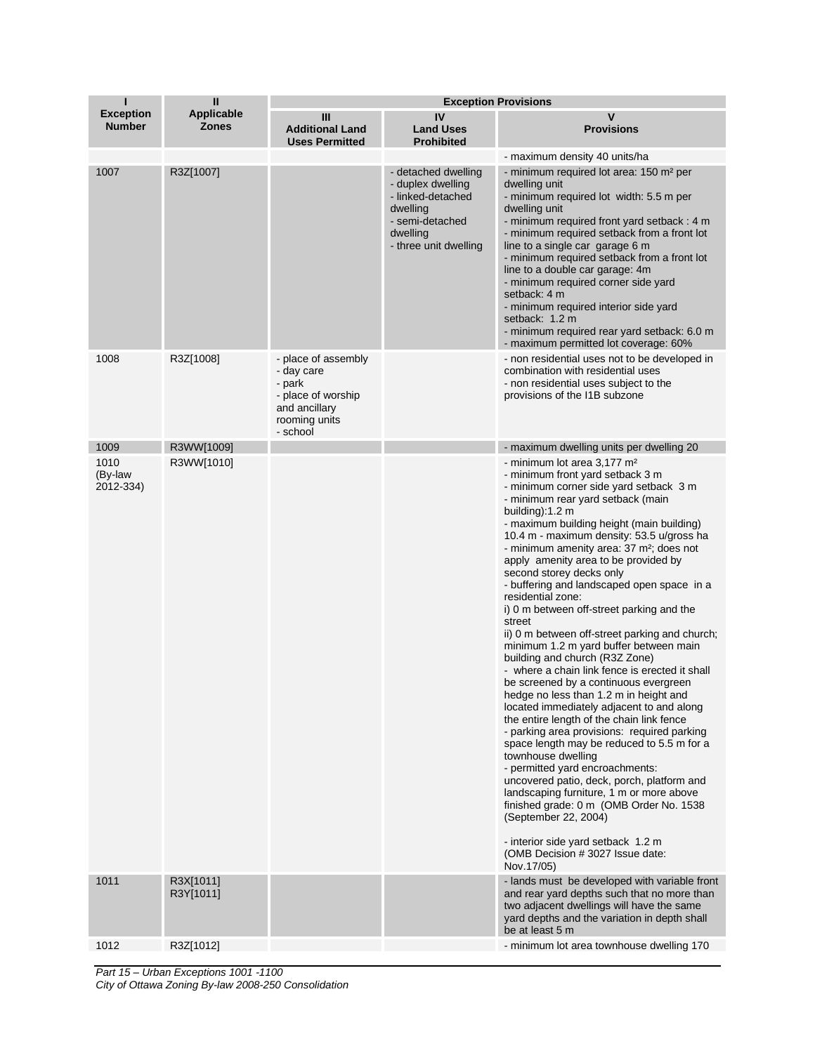| П                                 | $\mathbf{I}$                      | <b>Exception Provisions</b>                                                                                     |                                                                                                                                   |                                                                                                                                                                                                                                                                                                                                                                                                                                                                                                                                                                                                                                                                                                                                                                                                                                                                                                                                                                                                                                                                                                                                                                                                                                                                                                      |
|-----------------------------------|-----------------------------------|-----------------------------------------------------------------------------------------------------------------|-----------------------------------------------------------------------------------------------------------------------------------|------------------------------------------------------------------------------------------------------------------------------------------------------------------------------------------------------------------------------------------------------------------------------------------------------------------------------------------------------------------------------------------------------------------------------------------------------------------------------------------------------------------------------------------------------------------------------------------------------------------------------------------------------------------------------------------------------------------------------------------------------------------------------------------------------------------------------------------------------------------------------------------------------------------------------------------------------------------------------------------------------------------------------------------------------------------------------------------------------------------------------------------------------------------------------------------------------------------------------------------------------------------------------------------------------|
| <b>Exception</b><br><b>Number</b> | <b>Applicable</b><br><b>Zones</b> | Ш<br><b>Additional Land</b><br><b>Uses Permitted</b>                                                            | IV<br><b>Land Uses</b><br><b>Prohibited</b>                                                                                       | V<br><b>Provisions</b>                                                                                                                                                                                                                                                                                                                                                                                                                                                                                                                                                                                                                                                                                                                                                                                                                                                                                                                                                                                                                                                                                                                                                                                                                                                                               |
| 1007                              | R3Z[1007]                         |                                                                                                                 | - detached dwelling<br>- duplex dwelling<br>- linked-detached<br>dwelling<br>- semi-detached<br>dwellina<br>- three unit dwelling | - maximum density 40 units/ha<br>- minimum required lot area: 150 m <sup>2</sup> per<br>dwelling unit<br>- minimum required lot width: 5.5 m per<br>dwelling unit<br>- minimum required front yard setback: 4 m<br>- minimum required setback from a front lot<br>line to a single car garage 6 m<br>- minimum required setback from a front lot<br>line to a double car garage: 4m<br>- minimum required corner side yard<br>setback: 4 m<br>- minimum required interior side yard<br>setback: 1.2 m<br>- minimum required rear yard setback: 6.0 m<br>- maximum permitted lot coverage: 60%                                                                                                                                                                                                                                                                                                                                                                                                                                                                                                                                                                                                                                                                                                        |
| 1008                              | R3Z[1008]                         | - place of assembly<br>- day care<br>- park<br>- place of worship<br>and ancillary<br>rooming units<br>- school |                                                                                                                                   | - non residential uses not to be developed in<br>combination with residential uses<br>- non residential uses subject to the<br>provisions of the I1B subzone                                                                                                                                                                                                                                                                                                                                                                                                                                                                                                                                                                                                                                                                                                                                                                                                                                                                                                                                                                                                                                                                                                                                         |
| 1009                              | R3WW[1009]                        |                                                                                                                 |                                                                                                                                   | - maximum dwelling units per dwelling 20                                                                                                                                                                                                                                                                                                                                                                                                                                                                                                                                                                                                                                                                                                                                                                                                                                                                                                                                                                                                                                                                                                                                                                                                                                                             |
| 1010<br>(By-law<br>2012-334)      | R3WW[1010]                        |                                                                                                                 |                                                                                                                                   | - minimum lot area 3,177 m <sup>2</sup><br>- minimum front yard setback 3 m<br>- minimum corner side yard setback 3 m<br>- minimum rear yard setback (main<br>building):1.2 m<br>- maximum building height (main building)<br>10.4 m - maximum density: 53.5 u/gross ha<br>- minimum amenity area: 37 m <sup>2</sup> ; does not<br>apply amenity area to be provided by<br>second storey decks only<br>- buffering and landscaped open space in a<br>residential zone:<br>i) 0 m between off-street parking and the<br>street<br>ii) 0 m between off-street parking and church;<br>minimum 1.2 m yard buffer between main<br>building and church (R3Z Zone)<br>- where a chain link fence is erected it shall<br>be screened by a continuous evergreen<br>hedge no less than 1.2 m in height and<br>located immediately adjacent to and along<br>the entire length of the chain link fence<br>- parking area provisions: required parking<br>space length may be reduced to 5.5 m for a<br>townhouse dwelling<br>- permitted yard encroachments:<br>uncovered patio, deck, porch, platform and<br>landscaping furniture, 1 m or more above<br>finished grade: 0 m (OMB Order No. 1538<br>(September 22, 2004)<br>- interior side yard setback 1.2 m<br>(OMB Decision #3027 Issue date:<br>Nov.17/05) |
| 1011                              | R3X[1011]<br>R3Y[1011]            |                                                                                                                 |                                                                                                                                   | - lands must be developed with variable front<br>and rear yard depths such that no more than<br>two adjacent dwellings will have the same<br>yard depths and the variation in depth shall                                                                                                                                                                                                                                                                                                                                                                                                                                                                                                                                                                                                                                                                                                                                                                                                                                                                                                                                                                                                                                                                                                            |
| 1012                              | R3Z[1012]                         |                                                                                                                 |                                                                                                                                   | be at least 5 m<br>- minimum lot area townhouse dwelling 170                                                                                                                                                                                                                                                                                                                                                                                                                                                                                                                                                                                                                                                                                                                                                                                                                                                                                                                                                                                                                                                                                                                                                                                                                                         |
|                                   |                                   |                                                                                                                 |                                                                                                                                   |                                                                                                                                                                                                                                                                                                                                                                                                                                                                                                                                                                                                                                                                                                                                                                                                                                                                                                                                                                                                                                                                                                                                                                                                                                                                                                      |

*Part 15 – Urban Exceptions 1001 -1100 City of Ottawa Zoning By-law 2008-250 Consolidation*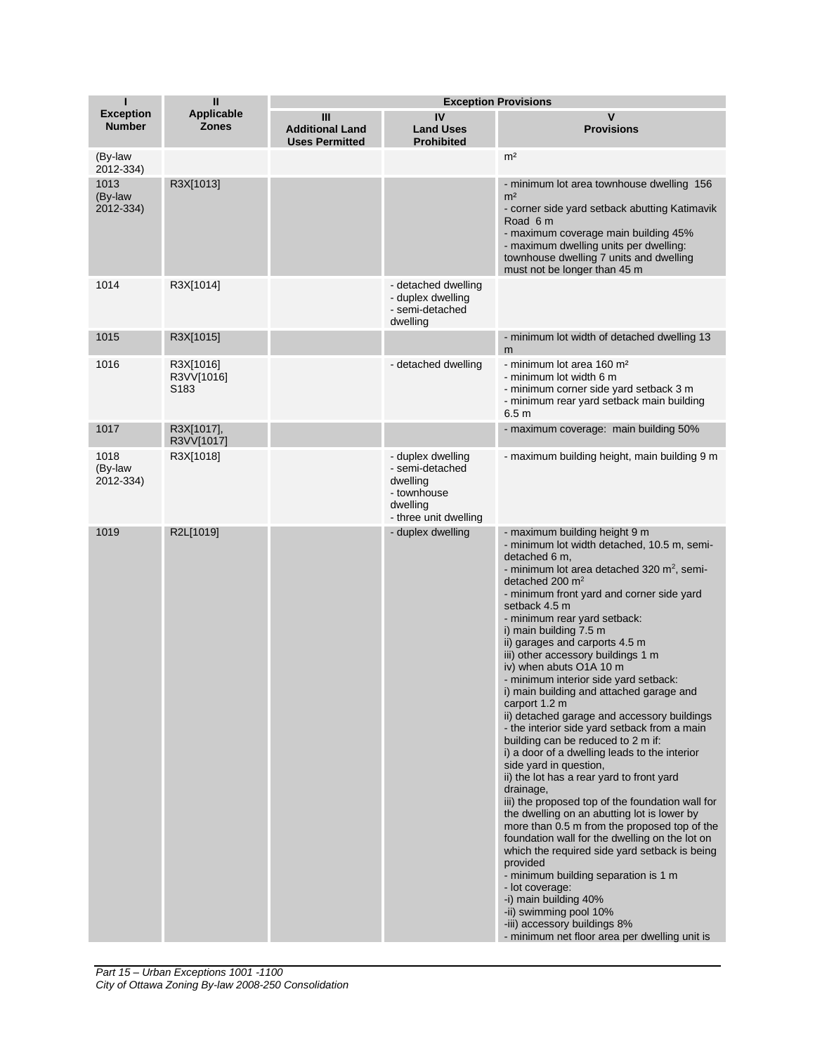| Т                                 | $\mathbf{I}$                      | <b>Exception Provisions</b>                          |                                                                                                      |                                                                                                                                                                                                                                                                                                                                                                                                                                                                                                                                                                                                                                                                                                                                                                                                                                                                                                                                                                                                                                                                                                                                                                                                                                                                    |
|-----------------------------------|-----------------------------------|------------------------------------------------------|------------------------------------------------------------------------------------------------------|--------------------------------------------------------------------------------------------------------------------------------------------------------------------------------------------------------------------------------------------------------------------------------------------------------------------------------------------------------------------------------------------------------------------------------------------------------------------------------------------------------------------------------------------------------------------------------------------------------------------------------------------------------------------------------------------------------------------------------------------------------------------------------------------------------------------------------------------------------------------------------------------------------------------------------------------------------------------------------------------------------------------------------------------------------------------------------------------------------------------------------------------------------------------------------------------------------------------------------------------------------------------|
| <b>Exception</b><br><b>Number</b> | <b>Applicable</b><br><b>Zones</b> | Ш<br><b>Additional Land</b><br><b>Uses Permitted</b> | IV<br><b>Land Uses</b><br><b>Prohibited</b>                                                          | v<br><b>Provisions</b>                                                                                                                                                                                                                                                                                                                                                                                                                                                                                                                                                                                                                                                                                                                                                                                                                                                                                                                                                                                                                                                                                                                                                                                                                                             |
| (By-law<br>2012-334)              |                                   |                                                      |                                                                                                      | m <sup>2</sup>                                                                                                                                                                                                                                                                                                                                                                                                                                                                                                                                                                                                                                                                                                                                                                                                                                                                                                                                                                                                                                                                                                                                                                                                                                                     |
| 1013<br>(By-law<br>2012-334)      | R3X[1013]                         |                                                      |                                                                                                      | - minimum lot area townhouse dwelling 156<br>m <sup>2</sup><br>- corner side yard setback abutting Katimavik<br>Road 6 m<br>- maximum coverage main building 45%<br>- maximum dwelling units per dwelling:<br>townhouse dwelling 7 units and dwelling<br>must not be longer than 45 m                                                                                                                                                                                                                                                                                                                                                                                                                                                                                                                                                                                                                                                                                                                                                                                                                                                                                                                                                                              |
| 1014                              | R3X[1014]                         |                                                      | - detached dwelling<br>- duplex dwelling<br>- semi-detached<br>dwelling                              |                                                                                                                                                                                                                                                                                                                                                                                                                                                                                                                                                                                                                                                                                                                                                                                                                                                                                                                                                                                                                                                                                                                                                                                                                                                                    |
| 1015                              | R3X[1015]                         |                                                      |                                                                                                      | - minimum lot width of detached dwelling 13<br>m                                                                                                                                                                                                                                                                                                                                                                                                                                                                                                                                                                                                                                                                                                                                                                                                                                                                                                                                                                                                                                                                                                                                                                                                                   |
| 1016                              | R3X[1016]<br>R3VV[1016]<br>S183   |                                                      | - detached dwelling                                                                                  | - minimum lot area 160 m <sup>2</sup><br>- minimum lot width 6 m<br>- minimum corner side yard setback 3 m<br>- minimum rear yard setback main building<br>6.5 <sub>m</sub>                                                                                                                                                                                                                                                                                                                                                                                                                                                                                                                                                                                                                                                                                                                                                                                                                                                                                                                                                                                                                                                                                        |
| 1017                              | R3X[1017],<br>R3VV[1017]          |                                                      |                                                                                                      | - maximum coverage: main building 50%                                                                                                                                                                                                                                                                                                                                                                                                                                                                                                                                                                                                                                                                                                                                                                                                                                                                                                                                                                                                                                                                                                                                                                                                                              |
| 1018<br>(By-law<br>2012-334)      | R3X[1018]                         |                                                      | - duplex dwelling<br>- semi-detached<br>dwelling<br>- townhouse<br>dwelling<br>- three unit dwelling | - maximum building height, main building 9 m                                                                                                                                                                                                                                                                                                                                                                                                                                                                                                                                                                                                                                                                                                                                                                                                                                                                                                                                                                                                                                                                                                                                                                                                                       |
| 1019                              | R2L[1019]                         |                                                      | - duplex dwelling                                                                                    | - maximum building height 9 m<br>- minimum lot width detached, 10.5 m, semi-<br>detached 6 m,<br>- minimum lot area detached 320 m <sup>2</sup> , semi-<br>detached 200 m <sup>2</sup><br>- minimum front yard and corner side yard<br>setback 4.5 m<br>- minimum rear yard setback:<br>i) main building 7.5 m<br>ii) garages and carports 4.5 m<br>iii) other accessory buildings 1 m<br>iv) when abuts O1A 10 m<br>- minimum interior side yard setback:<br>i) main building and attached garage and<br>carport 1.2 m<br>ii) detached garage and accessory buildings<br>- the interior side yard setback from a main<br>building can be reduced to 2 m if:<br>i) a door of a dwelling leads to the interior<br>side yard in question,<br>ii) the lot has a rear yard to front yard<br>drainage,<br>iii) the proposed top of the foundation wall for<br>the dwelling on an abutting lot is lower by<br>more than 0.5 m from the proposed top of the<br>foundation wall for the dwelling on the lot on<br>which the required side yard setback is being<br>provided<br>- minimum building separation is 1 m<br>- lot coverage:<br>-i) main building 40%<br>-ii) swimming pool 10%<br>-iii) accessory buildings 8%<br>- minimum net floor area per dwelling unit is |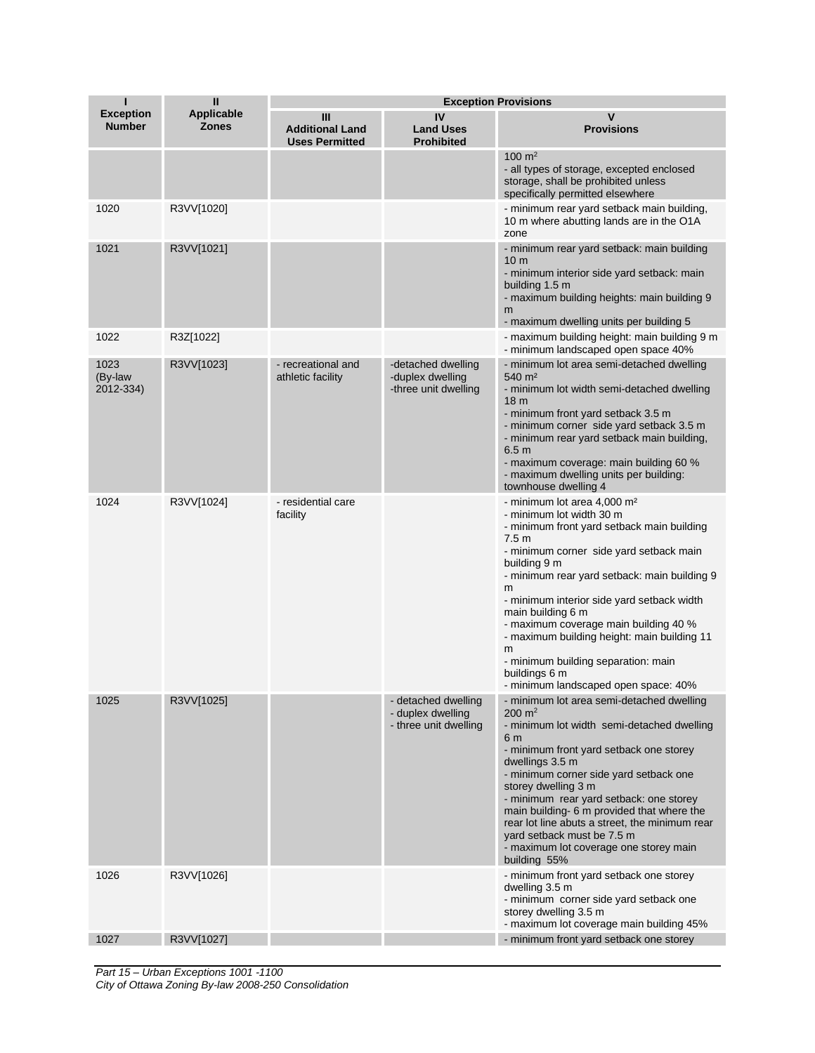| П                                 | $\mathbf{I}$                      | <b>Exception Provisions</b>                          |                                                                   |                                                                                                                                                                                                                                                                                                                                                                                                                                                                                                                       |
|-----------------------------------|-----------------------------------|------------------------------------------------------|-------------------------------------------------------------------|-----------------------------------------------------------------------------------------------------------------------------------------------------------------------------------------------------------------------------------------------------------------------------------------------------------------------------------------------------------------------------------------------------------------------------------------------------------------------------------------------------------------------|
| <b>Exception</b><br><b>Number</b> | <b>Applicable</b><br><b>Zones</b> | Ш<br><b>Additional Land</b><br><b>Uses Permitted</b> | IV<br><b>Land Uses</b><br><b>Prohibited</b>                       | v<br><b>Provisions</b>                                                                                                                                                                                                                                                                                                                                                                                                                                                                                                |
|                                   |                                   |                                                      |                                                                   | $100 \text{ m}^2$<br>- all types of storage, excepted enclosed<br>storage, shall be prohibited unless<br>specifically permitted elsewhere                                                                                                                                                                                                                                                                                                                                                                             |
| 1020                              | R3VV[1020]                        |                                                      |                                                                   | - minimum rear yard setback main building,<br>10 m where abutting lands are in the O1A<br>zone                                                                                                                                                                                                                                                                                                                                                                                                                        |
| 1021                              | R3VV[1021]                        |                                                      |                                                                   | - minimum rear yard setback: main building<br>10 <sub>m</sub><br>- minimum interior side yard setback: main<br>building 1.5 m<br>- maximum building heights: main building 9<br>m<br>- maximum dwelling units per building 5                                                                                                                                                                                                                                                                                          |
| 1022                              | R3Z[1022]                         |                                                      |                                                                   | - maximum building height: main building 9 m<br>- minimum landscaped open space 40%                                                                                                                                                                                                                                                                                                                                                                                                                                   |
| 1023<br>(By-law<br>2012-334)      | R3VV[1023]                        | - recreational and<br>athletic facility              | -detached dwelling<br>-duplex dwelling<br>-three unit dwelling    | - minimum lot area semi-detached dwelling<br>540 m <sup>2</sup><br>- minimum lot width semi-detached dwelling<br>18 <sub>m</sub><br>- minimum front yard setback 3.5 m<br>- minimum corner side yard setback 3.5 m<br>- minimum rear yard setback main building,<br>6.5 <sub>m</sub><br>- maximum coverage: main building 60 %<br>- maximum dwelling units per building:<br>townhouse dwelling 4                                                                                                                      |
| 1024                              | R3VV[1024]                        | - residential care<br>facility                       |                                                                   | - minimum lot area 4,000 m <sup>2</sup><br>- minimum lot width 30 m<br>- minimum front yard setback main building<br>7.5 <sub>m</sub><br>- minimum corner side yard setback main<br>building 9 m<br>- minimum rear yard setback: main building 9<br>m<br>- minimum interior side yard setback width<br>main building 6 m<br>- maximum coverage main building 40 %<br>- maximum building height: main building 11<br>m<br>- minimum building separation: main<br>buildings 6 m<br>- minimum landscaped open space: 40% |
| 1025                              | R3VV[1025]                        |                                                      | - detached dwelling<br>- duplex dwelling<br>- three unit dwelling | - minimum lot area semi-detached dwelling<br>$200 \text{ m}^2$<br>- minimum lot width semi-detached dwelling<br>6 <sub>m</sub><br>- minimum front yard setback one storey<br>dwellings 3.5 m<br>- minimum corner side yard setback one<br>storey dwelling 3 m<br>- minimum rear yard setback: one storey<br>main building- 6 m provided that where the<br>rear lot line abuts a street, the minimum rear<br>yard setback must be 7.5 m<br>- maximum lot coverage one storey main<br>building 55%                      |
| 1026                              | R3VV[1026]                        |                                                      |                                                                   | - minimum front yard setback one storey<br>dwelling 3.5 m<br>- minimum corner side yard setback one<br>storey dwelling 3.5 m                                                                                                                                                                                                                                                                                                                                                                                          |
| 1027                              | R3VV[1027]                        |                                                      |                                                                   | - maximum lot coverage main building 45%<br>- minimum front yard setback one storey                                                                                                                                                                                                                                                                                                                                                                                                                                   |
|                                   |                                   |                                                      |                                                                   |                                                                                                                                                                                                                                                                                                                                                                                                                                                                                                                       |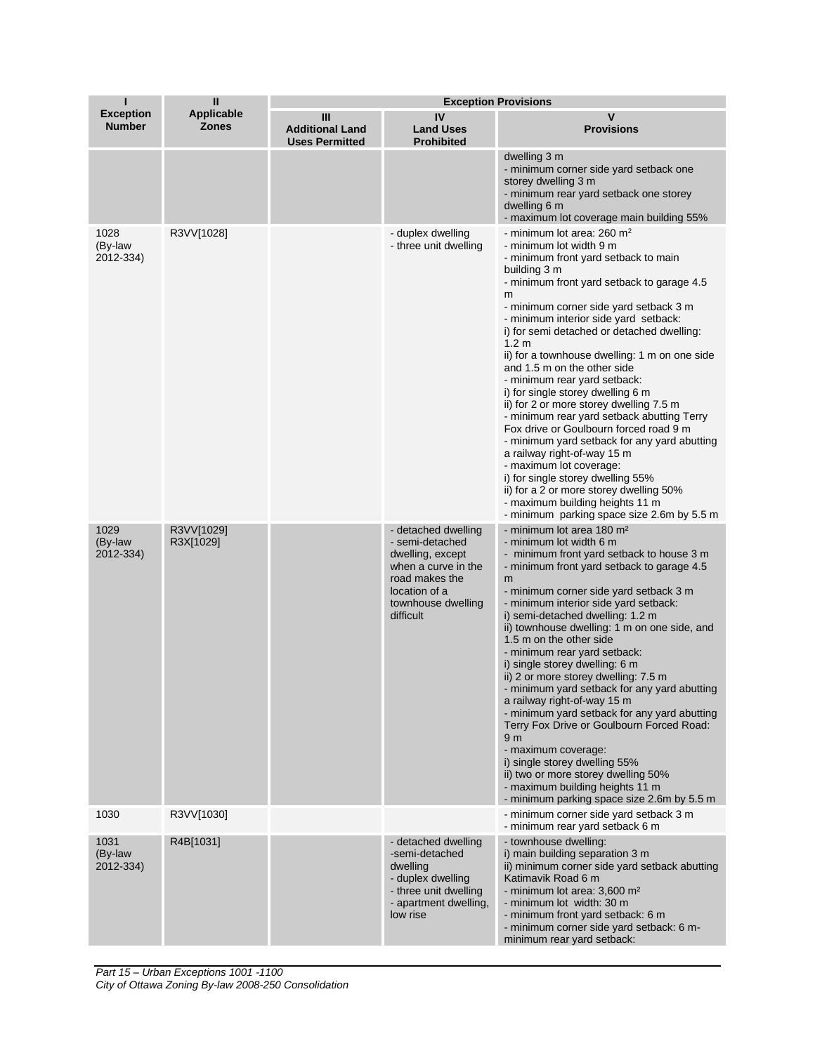| Т                                 | $\mathbf{I}$               | <b>Exception Provisions</b>                          |                                                                                                                                                         |                                                                                                                                                                                                                                                                                                                                                                                                                                                                                                                                                                                                                                                                                                                                                                                                                                                                                            |  |
|-----------------------------------|----------------------------|------------------------------------------------------|---------------------------------------------------------------------------------------------------------------------------------------------------------|--------------------------------------------------------------------------------------------------------------------------------------------------------------------------------------------------------------------------------------------------------------------------------------------------------------------------------------------------------------------------------------------------------------------------------------------------------------------------------------------------------------------------------------------------------------------------------------------------------------------------------------------------------------------------------------------------------------------------------------------------------------------------------------------------------------------------------------------------------------------------------------------|--|
| <b>Exception</b><br><b>Number</b> | Applicable<br><b>Zones</b> | Ш<br><b>Additional Land</b><br><b>Uses Permitted</b> | IV<br><b>Land Uses</b><br><b>Prohibited</b>                                                                                                             | $\mathsf{V}$<br><b>Provisions</b>                                                                                                                                                                                                                                                                                                                                                                                                                                                                                                                                                                                                                                                                                                                                                                                                                                                          |  |
|                                   |                            |                                                      |                                                                                                                                                         | dwelling 3 m<br>- minimum corner side yard setback one<br>storey dwelling 3 m<br>- minimum rear yard setback one storey<br>dwelling 6 m<br>- maximum lot coverage main building 55%                                                                                                                                                                                                                                                                                                                                                                                                                                                                                                                                                                                                                                                                                                        |  |
| 1028<br>(By-law<br>2012-334)      | R3VV[1028]                 |                                                      | - duplex dwelling<br>- three unit dwelling                                                                                                              | - minimum lot area: 260 $m2$<br>- minimum lot width 9 m<br>- minimum front yard setback to main<br>building 3 m<br>- minimum front yard setback to garage 4.5<br>m<br>- minimum corner side yard setback 3 m<br>- minimum interior side yard setback:<br>i) for semi detached or detached dwelling:<br>1.2 <sub>m</sub><br>ii) for a townhouse dwelling: 1 m on one side<br>and 1.5 m on the other side<br>- minimum rear yard setback:<br>i) for single storey dwelling 6 m<br>ii) for 2 or more storey dwelling 7.5 m<br>- minimum rear yard setback abutting Terry<br>Fox drive or Goulbourn forced road 9 m<br>- minimum yard setback for any yard abutting<br>a railway right-of-way 15 m<br>- maximum lot coverage:<br>i) for single storey dwelling 55%<br>ii) for a 2 or more storey dwelling 50%<br>- maximum building heights 11 m<br>- minimum parking space size 2.6m by 5.5 m |  |
| 1029<br>(By-law<br>2012-334)      | R3VV[1029]<br>R3X[1029]    |                                                      | - detached dwelling<br>- semi-detached<br>dwelling, except<br>when a curve in the<br>road makes the<br>location of a<br>townhouse dwelling<br>difficult | - minimum lot area 180 m <sup>2</sup><br>- minimum lot width 6 m<br>- minimum front yard setback to house 3 m<br>- minimum front yard setback to garage 4.5<br>m<br>- minimum corner side yard setback 3 m<br>- minimum interior side yard setback:<br>i) semi-detached dwelling: 1.2 m<br>ii) townhouse dwelling: 1 m on one side, and<br>1.5 m on the other side<br>- minimum rear yard setback:<br>i) single storey dwelling: 6 m<br>ii) 2 or more storey dwelling: 7.5 m<br>- minimum yard setback for any yard abutting<br>a railway right-of-way 15 m<br>- minimum yard setback for any yard abutting<br>Terry Fox Drive or Goulbourn Forced Road:<br>9 <sub>m</sub><br>- maximum coverage:<br>i) single storey dwelling 55%<br>ii) two or more storey dwelling 50%<br>- maximum building heights 11 m<br>- minimum parking space size 2.6m by 5.5 m                                 |  |
| 1030                              | R3VV[1030]                 |                                                      |                                                                                                                                                         | - minimum corner side yard setback 3 m<br>- minimum rear yard setback 6 m                                                                                                                                                                                                                                                                                                                                                                                                                                                                                                                                                                                                                                                                                                                                                                                                                  |  |
| 1031<br>(By-law<br>2012-334)      | R4B[1031]                  |                                                      | - detached dwelling<br>-semi-detached<br>dwelling<br>- duplex dwelling<br>- three unit dwelling<br>- apartment dwelling,<br>low rise                    | - townhouse dwelling:<br>i) main building separation 3 m<br>ii) minimum corner side yard setback abutting<br>Katimavik Road 6 m<br>- minimum lot area: 3,600 m <sup>2</sup><br>- minimum lot width: 30 m<br>- minimum front yard setback: 6 m<br>- minimum corner side yard setback: 6 m-<br>minimum rear yard setback:                                                                                                                                                                                                                                                                                                                                                                                                                                                                                                                                                                    |  |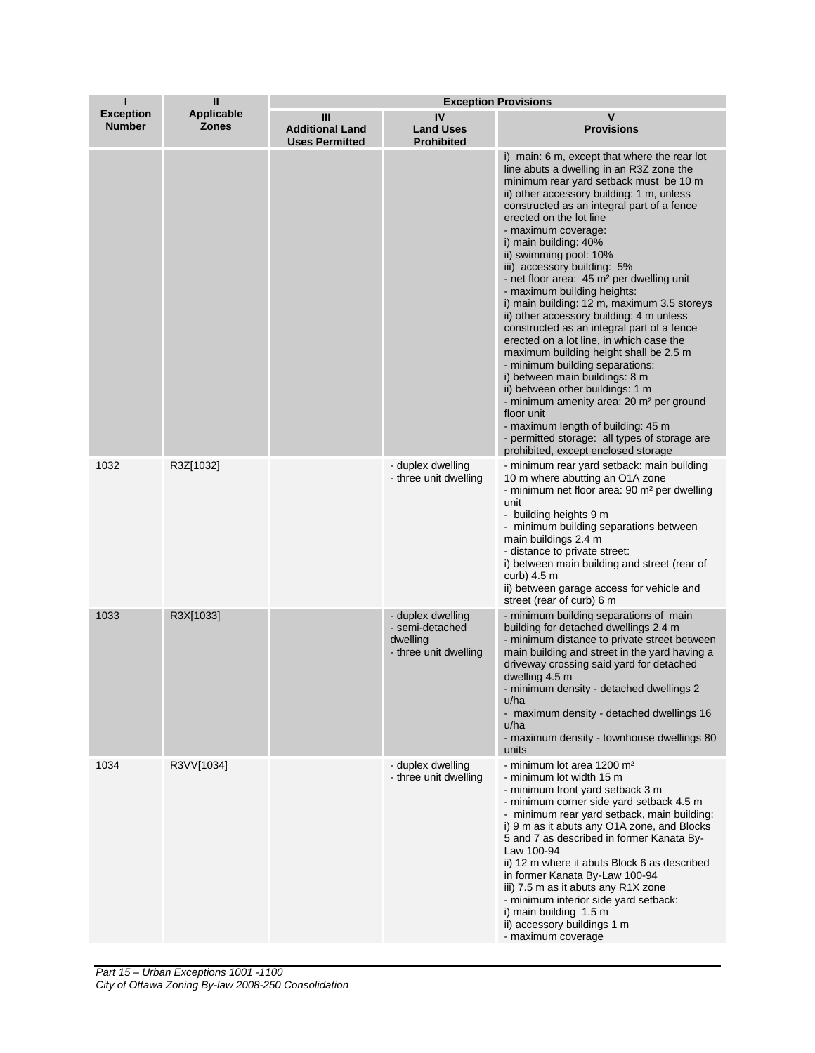| п                                 | Ш                                 | <b>Exception Provisions</b>                          |                                                                           |                                                                                                                                                                                                                                                                                                                                                                                                                                                                                                                                                                                                                                                                                                                                                                                                                                                                                                                                                                                                       |  |
|-----------------------------------|-----------------------------------|------------------------------------------------------|---------------------------------------------------------------------------|-------------------------------------------------------------------------------------------------------------------------------------------------------------------------------------------------------------------------------------------------------------------------------------------------------------------------------------------------------------------------------------------------------------------------------------------------------------------------------------------------------------------------------------------------------------------------------------------------------------------------------------------------------------------------------------------------------------------------------------------------------------------------------------------------------------------------------------------------------------------------------------------------------------------------------------------------------------------------------------------------------|--|
| <b>Exception</b><br><b>Number</b> | <b>Applicable</b><br><b>Zones</b> | Ш<br><b>Additional Land</b><br><b>Uses Permitted</b> | IV<br><b>Land Uses</b><br><b>Prohibited</b>                               | v<br><b>Provisions</b>                                                                                                                                                                                                                                                                                                                                                                                                                                                                                                                                                                                                                                                                                                                                                                                                                                                                                                                                                                                |  |
|                                   |                                   |                                                      |                                                                           | i) main: 6 m, except that where the rear lot<br>line abuts a dwelling in an R3Z zone the<br>minimum rear yard setback must be 10 m<br>ii) other accessory building: 1 m, unless<br>constructed as an integral part of a fence<br>erected on the lot line<br>- maximum coverage:<br>i) main building: 40%<br>ii) swimming pool: 10%<br>iii) accessory building: 5%<br>- net floor area: 45 m <sup>2</sup> per dwelling unit<br>- maximum building heights:<br>i) main building: 12 m, maximum 3.5 storeys<br>ii) other accessory building: 4 m unless<br>constructed as an integral part of a fence<br>erected on a lot line, in which case the<br>maximum building height shall be 2.5 m<br>- minimum building separations:<br>i) between main buildings: 8 m<br>ii) between other buildings: 1 m<br>- minimum amenity area: 20 m <sup>2</sup> per ground<br>floor unit<br>- maximum length of building: 45 m<br>- permitted storage: all types of storage are<br>prohibited, except enclosed storage |  |
| 1032                              | R3Z[1032]                         |                                                      | - duplex dwelling<br>- three unit dwelling                                | - minimum rear yard setback: main building<br>10 m where abutting an O1A zone<br>- minimum net floor area: 90 m <sup>2</sup> per dwelling<br>unit<br>- building heights 9 m<br>- minimum building separations between<br>main buildings 2.4 m<br>- distance to private street:<br>i) between main building and street (rear of<br>curb) $4.5 \text{ m}$<br>ii) between garage access for vehicle and<br>street (rear of curb) 6 m                                                                                                                                                                                                                                                                                                                                                                                                                                                                                                                                                                     |  |
| 1033                              | R3X[1033]                         |                                                      | - duplex dwelling<br>- semi-detached<br>dwelling<br>- three unit dwelling | - minimum building separations of main<br>building for detached dwellings 2.4 m<br>- minimum distance to private street between<br>main building and street in the yard having a<br>driveway crossing said yard for detached<br>dwelling 4.5 m<br>- minimum density - detached dwellings 2<br>u/ha<br>- maximum density - detached dwellings 16<br>u/ha<br>- maximum density - townhouse dwellings 80<br>units                                                                                                                                                                                                                                                                                                                                                                                                                                                                                                                                                                                        |  |
| 1034                              | R3VV[1034]                        |                                                      | - duplex dwelling<br>- three unit dwelling                                | - minimum lot area 1200 m <sup>2</sup><br>- minimum lot width 15 m<br>- minimum front yard setback 3 m<br>- minimum corner side yard setback 4.5 m<br>- minimum rear yard setback, main building:<br>i) 9 m as it abuts any O1A zone, and Blocks<br>5 and 7 as described in former Kanata By-<br>Law 100-94<br>ii) 12 m where it abuts Block 6 as described<br>in former Kanata By-Law 100-94<br>iii) 7.5 m as it abuts any R1X zone<br>- minimum interior side yard setback:<br>i) main building 1.5 m<br>ii) accessory buildings 1 m<br>- maximum coverage                                                                                                                                                                                                                                                                                                                                                                                                                                          |  |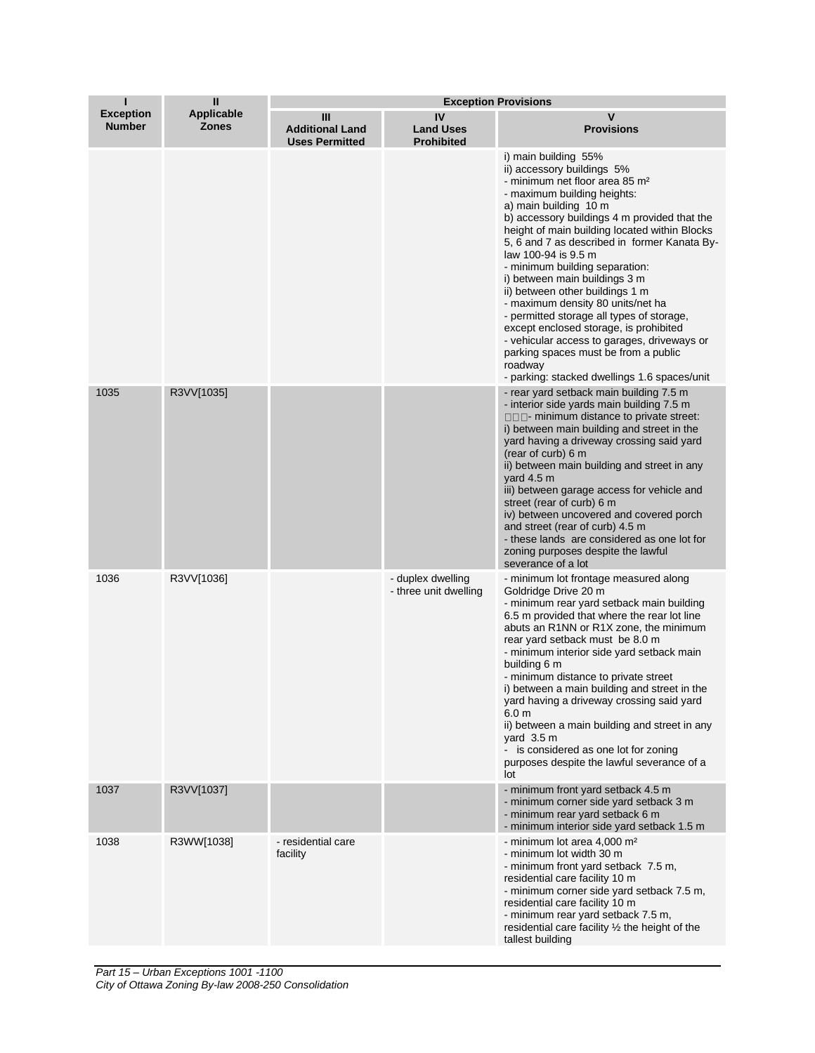| П                                 | $\mathbf{u}$                      | <b>Exception Provisions</b>                          |                                             |                                                                                                                                                                                                                                                                                                                                                                                                                                                                                                                                                                                                                                                                                                                      |  |
|-----------------------------------|-----------------------------------|------------------------------------------------------|---------------------------------------------|----------------------------------------------------------------------------------------------------------------------------------------------------------------------------------------------------------------------------------------------------------------------------------------------------------------------------------------------------------------------------------------------------------------------------------------------------------------------------------------------------------------------------------------------------------------------------------------------------------------------------------------------------------------------------------------------------------------------|--|
| <b>Exception</b><br><b>Number</b> | <b>Applicable</b><br><b>Zones</b> | Ш<br><b>Additional Land</b><br><b>Uses Permitted</b> | IV<br><b>Land Uses</b><br><b>Prohibited</b> | V<br><b>Provisions</b>                                                                                                                                                                                                                                                                                                                                                                                                                                                                                                                                                                                                                                                                                               |  |
|                                   |                                   |                                                      |                                             | i) main building 55%<br>ii) accessory buildings 5%<br>- minimum net floor area 85 m <sup>2</sup><br>- maximum building heights:<br>a) main building 10 m<br>b) accessory buildings 4 m provided that the<br>height of main building located within Blocks<br>5, 6 and 7 as described in former Kanata By-<br>law 100-94 is 9.5 m<br>- minimum building separation:<br>i) between main buildings 3 m<br>ii) between other buildings 1 m<br>- maximum density 80 units/net ha<br>- permitted storage all types of storage,<br>except enclosed storage, is prohibited<br>- vehicular access to garages, driveways or<br>parking spaces must be from a public<br>roadway<br>- parking: stacked dwellings 1.6 spaces/unit |  |
| 1035                              | R3VV[1035]                        |                                                      |                                             | - rear yard setback main building 7.5 m<br>- interior side yards main building 7.5 m<br>$\Box$ $\Box$ minimum distance to private street:<br>i) between main building and street in the<br>yard having a driveway crossing said yard<br>(rear of curb) 6 m<br>ii) between main building and street in any<br>yard $4.5 \text{ m}$<br>iii) between garage access for vehicle and<br>street (rear of curb) 6 m<br>iv) between uncovered and covered porch<br>and street (rear of curb) 4.5 m<br>- these lands are considered as one lot for<br>zoning purposes despite the lawful<br>severance of a lot                                                                                                                |  |
| 1036                              | R3VV[1036]                        |                                                      | - duplex dwelling<br>- three unit dwelling  | - minimum lot frontage measured along<br>Goldridge Drive 20 m<br>- minimum rear yard setback main building<br>6.5 m provided that where the rear lot line<br>abuts an R1NN or R1X zone, the minimum<br>rear yard setback must be 8.0 m<br>- minimum interior side yard setback main<br>building 6 m<br>- minimum distance to private street<br>i) between a main building and street in the<br>yard having a driveway crossing said yard<br>6.0 <sub>m</sub><br>ii) between a main building and street in any<br>yard $3.5 \text{ m}$<br>- is considered as one lot for zoning<br>purposes despite the lawful severance of a<br>lot                                                                                  |  |
| 1037                              | R3VV[1037]                        |                                                      |                                             | - minimum front yard setback 4.5 m<br>- minimum corner side yard setback 3 m<br>- minimum rear yard setback 6 m<br>- minimum interior side yard setback 1.5 m                                                                                                                                                                                                                                                                                                                                                                                                                                                                                                                                                        |  |
| 1038                              | R3WW[1038]                        | - residential care<br>facility                       |                                             | - minimum lot area 4,000 m <sup>2</sup><br>- minimum lot width 30 m<br>- minimum front yard setback 7.5 m,<br>residential care facility 10 m<br>- minimum corner side yard setback 7.5 m,<br>residential care facility 10 m<br>- minimum rear yard setback 7.5 m,<br>residential care facility $\frac{1}{2}$ the height of the<br>tallest building                                                                                                                                                                                                                                                                                                                                                                   |  |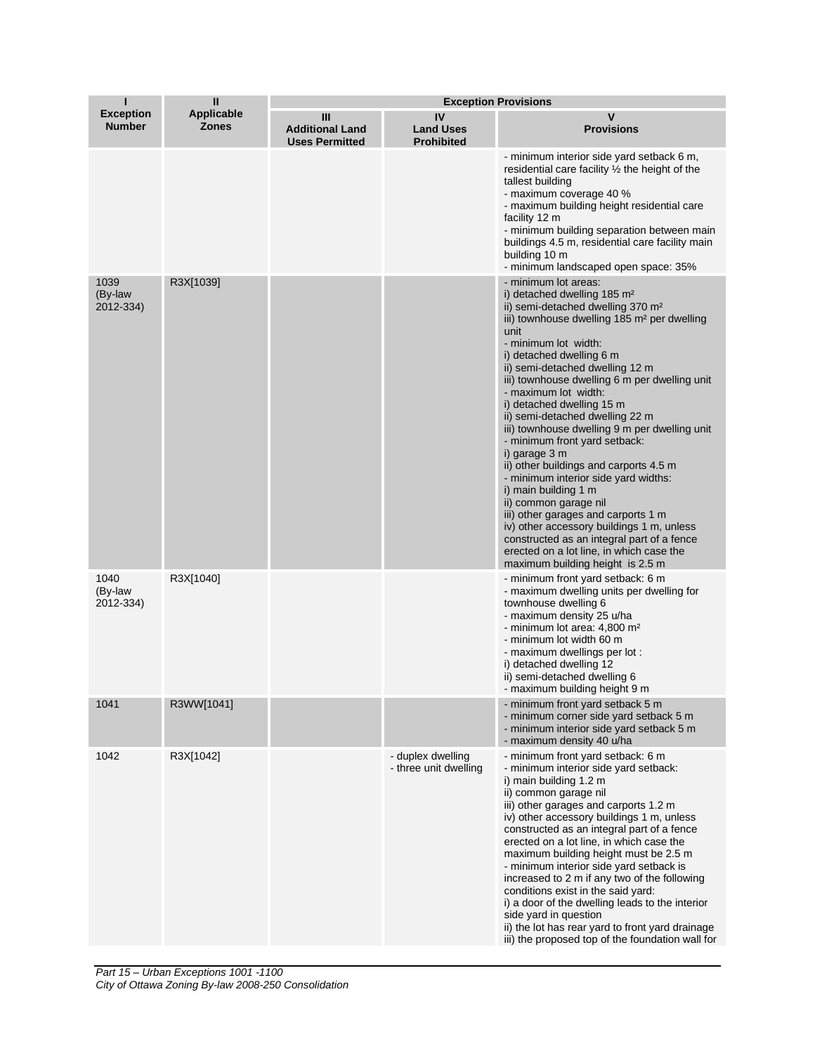| П                                 | $\mathbf{I}$                      | <b>Exception Provisions</b>                          |                                             |                                                                                                                                                                                                                                                                                                                                                                                                                                                                                                                                                                                                                                                                                                                                                                                                                                                                             |  |
|-----------------------------------|-----------------------------------|------------------------------------------------------|---------------------------------------------|-----------------------------------------------------------------------------------------------------------------------------------------------------------------------------------------------------------------------------------------------------------------------------------------------------------------------------------------------------------------------------------------------------------------------------------------------------------------------------------------------------------------------------------------------------------------------------------------------------------------------------------------------------------------------------------------------------------------------------------------------------------------------------------------------------------------------------------------------------------------------------|--|
| <b>Exception</b><br><b>Number</b> | <b>Applicable</b><br><b>Zones</b> | Ш<br><b>Additional Land</b><br><b>Uses Permitted</b> | IV<br><b>Land Uses</b><br><b>Prohibited</b> | $\mathbf v$<br><b>Provisions</b>                                                                                                                                                                                                                                                                                                                                                                                                                                                                                                                                                                                                                                                                                                                                                                                                                                            |  |
|                                   |                                   |                                                      |                                             | - minimum interior side yard setback 6 m,<br>residential care facility $\frac{1}{2}$ the height of the<br>tallest building<br>- maximum coverage 40 %<br>- maximum building height residential care<br>facility 12 m<br>- minimum building separation between main<br>buildings 4.5 m, residential care facility main<br>building 10 m<br>- minimum landscaped open space: 35%                                                                                                                                                                                                                                                                                                                                                                                                                                                                                              |  |
| 1039<br>(By-law<br>2012-334)      | R3X[1039]                         |                                                      |                                             | - minimum lot areas:<br>i) detached dwelling 185 m <sup>2</sup><br>ii) semi-detached dwelling 370 m <sup>2</sup><br>iii) townhouse dwelling 185 m <sup>2</sup> per dwelling<br>unit<br>- minimum lot width:<br>i) detached dwelling 6 m<br>ii) semi-detached dwelling 12 m<br>iii) townhouse dwelling 6 m per dwelling unit<br>- maximum lot width:<br>i) detached dwelling 15 m<br>ii) semi-detached dwelling 22 m<br>iii) townhouse dwelling 9 m per dwelling unit<br>- minimum front yard setback:<br>i) garage 3 m<br>ii) other buildings and carports 4.5 m<br>- minimum interior side yard widths:<br>i) main building 1 m<br>ii) common garage nil<br>iii) other garages and carports 1 m<br>iv) other accessory buildings 1 m, unless<br>constructed as an integral part of a fence<br>erected on a lot line, in which case the<br>maximum building height is 2.5 m |  |
| 1040<br>(By-law<br>2012-334)      | R3X[1040]                         |                                                      |                                             | - minimum front yard setback: 6 m<br>- maximum dwelling units per dwelling for<br>townhouse dwelling 6<br>- maximum density 25 u/ha<br>- minimum lot area: 4,800 m <sup>2</sup><br>- minimum lot width 60 m<br>- maximum dwellings per lot :<br>i) detached dwelling 12<br>ii) semi-detached dwelling 6<br>- maximum building height 9 m                                                                                                                                                                                                                                                                                                                                                                                                                                                                                                                                    |  |
| 1041                              | R3WW[1041]                        |                                                      |                                             | - minimum front yard setback 5 m<br>- minimum corner side yard setback 5 m<br>- minimum interior side yard setback 5 m<br>- maximum density 40 u/ha                                                                                                                                                                                                                                                                                                                                                                                                                                                                                                                                                                                                                                                                                                                         |  |
| 1042                              | R3X[1042]                         |                                                      | - duplex dwelling<br>- three unit dwelling  | - minimum front yard setback: 6 m<br>- minimum interior side yard setback:<br>i) main building 1.2 m<br>ii) common garage nil<br>iii) other garages and carports 1.2 m<br>iv) other accessory buildings 1 m, unless<br>constructed as an integral part of a fence<br>erected on a lot line, in which case the<br>maximum building height must be 2.5 m<br>- minimum interior side yard setback is<br>increased to 2 m if any two of the following<br>conditions exist in the said yard:<br>i) a door of the dwelling leads to the interior<br>side yard in question<br>ii) the lot has rear yard to front yard drainage<br>iii) the proposed top of the foundation wall for                                                                                                                                                                                                 |  |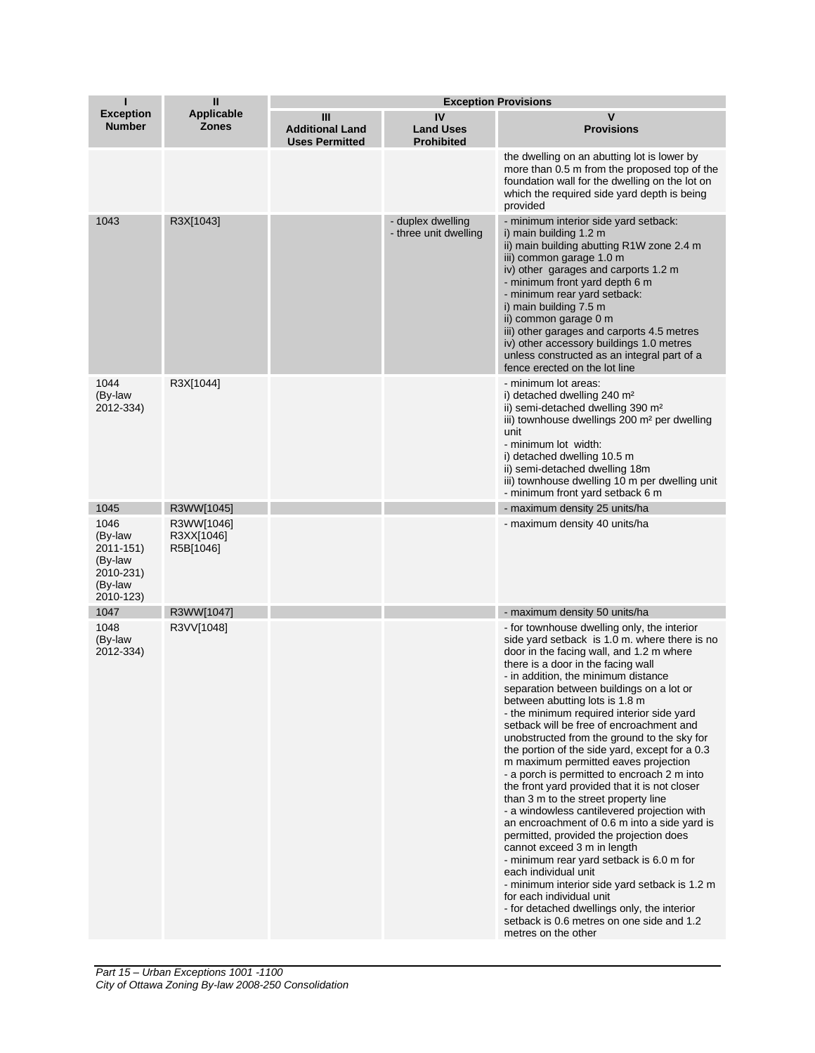| п                                                                            | Ш                                     | <b>Exception Provisions</b>                          |                                             |                                                                                                                                                                                                                                                                                                                                                                                                                                                                                                                                                                                                                                                                                                                                                                                                                                                                                                                                                                                                                                                                                                                            |  |
|------------------------------------------------------------------------------|---------------------------------------|------------------------------------------------------|---------------------------------------------|----------------------------------------------------------------------------------------------------------------------------------------------------------------------------------------------------------------------------------------------------------------------------------------------------------------------------------------------------------------------------------------------------------------------------------------------------------------------------------------------------------------------------------------------------------------------------------------------------------------------------------------------------------------------------------------------------------------------------------------------------------------------------------------------------------------------------------------------------------------------------------------------------------------------------------------------------------------------------------------------------------------------------------------------------------------------------------------------------------------------------|--|
| <b>Exception</b><br><b>Number</b>                                            | <b>Applicable</b><br><b>Zones</b>     | Ш<br><b>Additional Land</b><br><b>Uses Permitted</b> | IV<br><b>Land Uses</b><br><b>Prohibited</b> | V<br><b>Provisions</b>                                                                                                                                                                                                                                                                                                                                                                                                                                                                                                                                                                                                                                                                                                                                                                                                                                                                                                                                                                                                                                                                                                     |  |
|                                                                              |                                       |                                                      |                                             | the dwelling on an abutting lot is lower by<br>more than 0.5 m from the proposed top of the<br>foundation wall for the dwelling on the lot on<br>which the required side yard depth is being<br>provided                                                                                                                                                                                                                                                                                                                                                                                                                                                                                                                                                                                                                                                                                                                                                                                                                                                                                                                   |  |
| 1043                                                                         | R3X[1043]                             |                                                      | - duplex dwelling<br>- three unit dwelling  | - minimum interior side yard setback:<br>i) main building 1.2 m<br>ii) main building abutting R1W zone 2.4 m<br>iii) common garage 1.0 m<br>iv) other garages and carports 1.2 m<br>- minimum front yard depth 6 m<br>- minimum rear yard setback:<br>i) main building 7.5 m<br>ii) common garage 0 m<br>iii) other garages and carports 4.5 metres<br>iv) other accessory buildings 1.0 metres<br>unless constructed as an integral part of a<br>fence erected on the lot line                                                                                                                                                                                                                                                                                                                                                                                                                                                                                                                                                                                                                                            |  |
| 1044<br>(By-law<br>2012-334)                                                 | R3X[1044]                             |                                                      |                                             | - minimum lot areas:<br>i) detached dwelling 240 m <sup>2</sup><br>ii) semi-detached dwelling 390 m <sup>2</sup><br>iii) townhouse dwellings 200 m <sup>2</sup> per dwelling<br>unit<br>- minimum lot width:<br>i) detached dwelling 10.5 m<br>ii) semi-detached dwelling 18m<br>iii) townhouse dwelling 10 m per dwelling unit<br>- minimum front yard setback 6 m                                                                                                                                                                                                                                                                                                                                                                                                                                                                                                                                                                                                                                                                                                                                                        |  |
| 1045                                                                         | R3WW[1045]                            |                                                      |                                             | - maximum density 25 units/ha                                                                                                                                                                                                                                                                                                                                                                                                                                                                                                                                                                                                                                                                                                                                                                                                                                                                                                                                                                                                                                                                                              |  |
| 1046<br>(By-law<br>2011-151)<br>(By-law<br>2010-231)<br>(By-law<br>2010-123) | R3WW[1046]<br>R3XX[1046]<br>R5B[1046] |                                                      |                                             | - maximum density 40 units/ha                                                                                                                                                                                                                                                                                                                                                                                                                                                                                                                                                                                                                                                                                                                                                                                                                                                                                                                                                                                                                                                                                              |  |
| 1047                                                                         | R3WW[1047]                            |                                                      |                                             | - maximum density 50 units/ha                                                                                                                                                                                                                                                                                                                                                                                                                                                                                                                                                                                                                                                                                                                                                                                                                                                                                                                                                                                                                                                                                              |  |
| 1048<br>(By-law<br>2012-334)                                                 | R3VV[1048]                            |                                                      |                                             | - for townhouse dwelling only, the interior<br>side yard setback is 1.0 m. where there is no<br>door in the facing wall, and 1.2 m where<br>there is a door in the facing wall<br>- in addition, the minimum distance<br>separation between buildings on a lot or<br>between abutting lots is 1.8 m<br>- the minimum required interior side yard<br>setback will be free of encroachment and<br>unobstructed from the ground to the sky for<br>the portion of the side yard, except for a 0.3<br>m maximum permitted eaves projection<br>- a porch is permitted to encroach 2 m into<br>the front yard provided that it is not closer<br>than 3 m to the street property line<br>- a windowless cantilevered projection with<br>an encroachment of 0.6 m into a side yard is<br>permitted, provided the projection does<br>cannot exceed 3 m in length<br>- minimum rear yard setback is 6.0 m for<br>each individual unit<br>- minimum interior side yard setback is 1.2 m<br>for each individual unit<br>- for detached dwellings only, the interior<br>setback is 0.6 metres on one side and 1.2<br>metres on the other |  |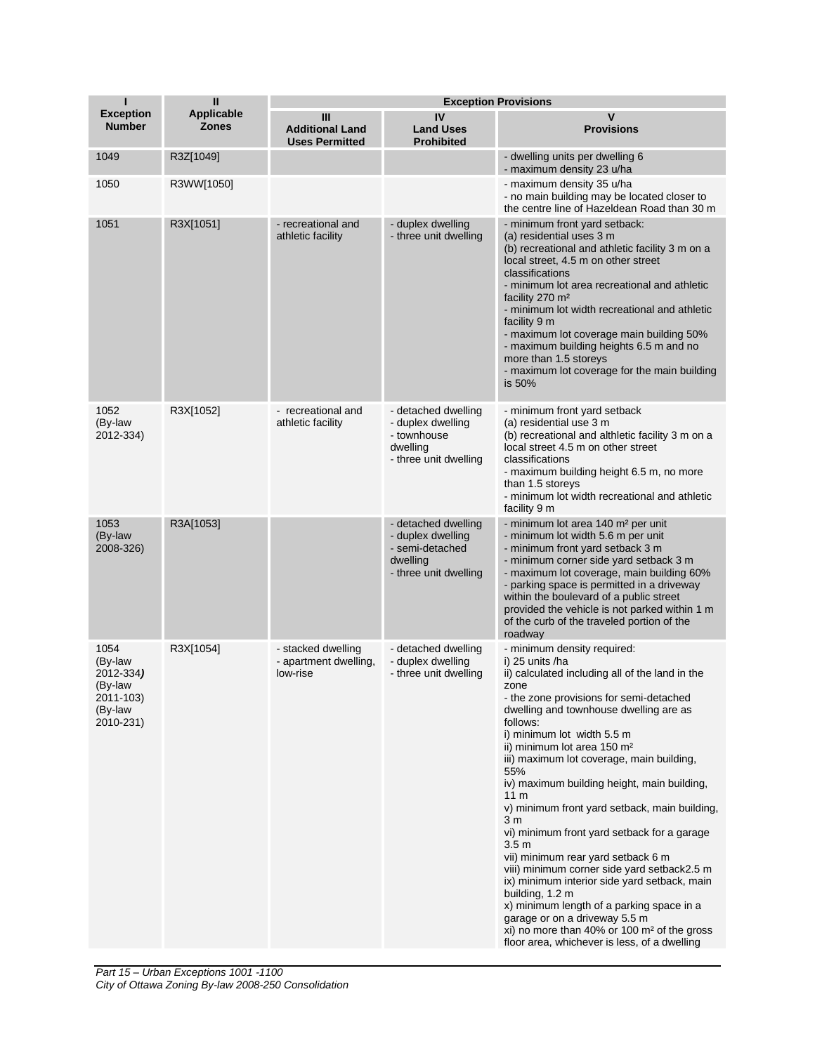| $\mathbf{u}$<br>п                                                            |                                   |                                                         |                                                                                                  | <b>Exception Provisions</b>                                                                                                                                                                                                                                                                                                                                                                                                                                                                                                                                                                                                                                                                                                                                                                                                                                     |  |  |
|------------------------------------------------------------------------------|-----------------------------------|---------------------------------------------------------|--------------------------------------------------------------------------------------------------|-----------------------------------------------------------------------------------------------------------------------------------------------------------------------------------------------------------------------------------------------------------------------------------------------------------------------------------------------------------------------------------------------------------------------------------------------------------------------------------------------------------------------------------------------------------------------------------------------------------------------------------------------------------------------------------------------------------------------------------------------------------------------------------------------------------------------------------------------------------------|--|--|
| <b>Exception</b><br><b>Number</b>                                            | <b>Applicable</b><br><b>Zones</b> | Ш<br><b>Additional Land</b><br><b>Uses Permitted</b>    | IV<br><b>Land Uses</b><br><b>Prohibited</b>                                                      | $\mathsf{v}$<br><b>Provisions</b>                                                                                                                                                                                                                                                                                                                                                                                                                                                                                                                                                                                                                                                                                                                                                                                                                               |  |  |
| 1049                                                                         | R3Z[1049]                         |                                                         |                                                                                                  | - dwelling units per dwelling 6<br>- maximum density 23 u/ha                                                                                                                                                                                                                                                                                                                                                                                                                                                                                                                                                                                                                                                                                                                                                                                                    |  |  |
| 1050                                                                         | R3WW[1050]                        |                                                         |                                                                                                  | - maximum density 35 u/ha<br>- no main building may be located closer to<br>the centre line of Hazeldean Road than 30 m                                                                                                                                                                                                                                                                                                                                                                                                                                                                                                                                                                                                                                                                                                                                         |  |  |
| 1051                                                                         | R3X[1051]                         | - recreational and<br>athletic facility                 | - duplex dwelling<br>- three unit dwelling                                                       | - minimum front yard setback:<br>(a) residential uses 3 m<br>(b) recreational and athletic facility 3 m on a<br>local street, 4.5 m on other street<br>classifications<br>- minimum lot area recreational and athletic<br>facility 270 m <sup>2</sup><br>- minimum lot width recreational and athletic<br>facility 9 m<br>- maximum lot coverage main building 50%<br>- maximum building heights 6.5 m and no<br>more than 1.5 storeys<br>- maximum lot coverage for the main building<br>is 50%                                                                                                                                                                                                                                                                                                                                                                |  |  |
| 1052<br>(By-law<br>2012-334)                                                 | R3X[1052]                         | - recreational and<br>athletic facility                 | - detached dwelling<br>- duplex dwelling<br>- townhouse<br>dwelling<br>- three unit dwelling     | - minimum front yard setback<br>(a) residential use 3 m<br>(b) recreational and althletic facility 3 m on a<br>local street 4.5 m on other street<br>classifications<br>- maximum building height 6.5 m, no more<br>than 1.5 storeys<br>- minimum lot width recreational and athletic<br>facility 9 m                                                                                                                                                                                                                                                                                                                                                                                                                                                                                                                                                           |  |  |
| 1053<br>(By-law<br>2008-326)                                                 | R3A[1053]                         |                                                         | - detached dwelling<br>- duplex dwelling<br>- semi-detached<br>dwelling<br>- three unit dwelling | - minimum lot area 140 m <sup>2</sup> per unit<br>- minimum lot width 5.6 m per unit<br>- minimum front yard setback 3 m<br>- minimum corner side yard setback 3 m<br>- maximum lot coverage, main building 60%<br>- parking space is permitted in a driveway<br>within the boulevard of a public street<br>provided the vehicle is not parked within 1 m<br>of the curb of the traveled portion of the<br>roadway                                                                                                                                                                                                                                                                                                                                                                                                                                              |  |  |
| 1054<br>(By-law<br>2012-334)<br>(By-law<br>2011-103)<br>(By-law<br>2010-231) | R3X[1054]                         | - stacked dwelling<br>- apartment dwelling,<br>low-rise | - detached dwelling<br>- duplex dwelling<br>- three unit dwelling                                | - minimum density required:<br>i) 25 units /ha<br>ii) calculated including all of the land in the<br>zone<br>- the zone provisions for semi-detached<br>dwelling and townhouse dwelling are as<br>follows:<br>i) minimum lot width 5.5 m<br>ii) minimum lot area 150 m <sup>2</sup><br>iii) maximum lot coverage, main building,<br>55%<br>iv) maximum building height, main building,<br>11 m<br>v) minimum front yard setback, main building,<br>3 m<br>vi) minimum front yard setback for a garage<br>$3.5 \text{ m}$<br>vii) minimum rear yard setback 6 m<br>viii) minimum corner side yard setback2.5 m<br>ix) minimum interior side yard setback, main<br>building, 1.2 m<br>x) minimum length of a parking space in a<br>garage or on a driveway 5.5 m<br>xi) no more than 40% or 100 $m2$ of the gross<br>floor area, whichever is less, of a dwelling |  |  |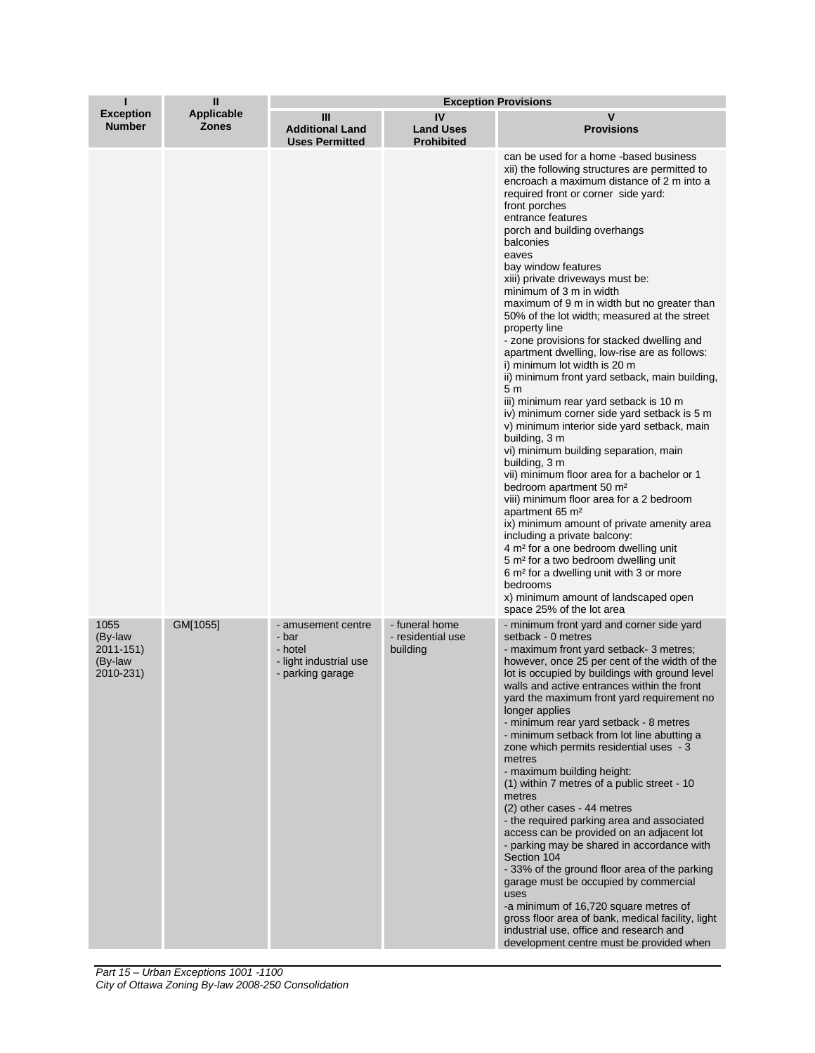|                                                      | $\mathbf{I}$               | <b>Exception Provisions</b>                                                          |                                                 |                                                                                                                                                                                                                                                                                                                                                                                                                                                                                                                                                                                                                                                                                                                                                                                                                                                                                                                                                                                                                                                                                                                                                                                                                                                                                                                                                                                         |  |
|------------------------------------------------------|----------------------------|--------------------------------------------------------------------------------------|-------------------------------------------------|-----------------------------------------------------------------------------------------------------------------------------------------------------------------------------------------------------------------------------------------------------------------------------------------------------------------------------------------------------------------------------------------------------------------------------------------------------------------------------------------------------------------------------------------------------------------------------------------------------------------------------------------------------------------------------------------------------------------------------------------------------------------------------------------------------------------------------------------------------------------------------------------------------------------------------------------------------------------------------------------------------------------------------------------------------------------------------------------------------------------------------------------------------------------------------------------------------------------------------------------------------------------------------------------------------------------------------------------------------------------------------------------|--|
| <b>Exception</b><br><b>Number</b>                    | Applicable<br><b>Zones</b> | Ш<br><b>Additional Land</b><br><b>Uses Permitted</b>                                 | IV<br><b>Land Uses</b><br><b>Prohibited</b>     | v<br><b>Provisions</b>                                                                                                                                                                                                                                                                                                                                                                                                                                                                                                                                                                                                                                                                                                                                                                                                                                                                                                                                                                                                                                                                                                                                                                                                                                                                                                                                                                  |  |
|                                                      |                            |                                                                                      |                                                 | can be used for a home -based business<br>xii) the following structures are permitted to<br>encroach a maximum distance of 2 m into a<br>required front or corner side yard:<br>front porches<br>entrance features<br>porch and building overhangs<br>balconies<br>eaves<br>bay window features<br>xiii) private driveways must be:<br>minimum of 3 m in width<br>maximum of 9 m in width but no greater than<br>50% of the lot width; measured at the street<br>property line<br>- zone provisions for stacked dwelling and<br>apartment dwelling, low-rise are as follows:<br>i) minimum lot width is 20 m<br>ii) minimum front yard setback, main building,<br>5 m<br>iii) minimum rear yard setback is 10 m<br>iv) minimum corner side yard setback is 5 m<br>v) minimum interior side yard setback, main<br>building, 3 m<br>vi) minimum building separation, main<br>building, 3 m<br>vii) minimum floor area for a bachelor or 1<br>bedroom apartment 50 m <sup>2</sup><br>viii) minimum floor area for a 2 bedroom<br>apartment 65 m <sup>2</sup><br>ix) minimum amount of private amenity area<br>including a private balcony:<br>4 m <sup>2</sup> for a one bedroom dwelling unit<br>5 m <sup>2</sup> for a two bedroom dwelling unit<br>6 m <sup>2</sup> for a dwelling unit with 3 or more<br>bedrooms<br>x) minimum amount of landscaped open<br>space 25% of the lot area |  |
| 1055<br>(By-law<br>2011-151)<br>(By-law<br>2010-231) | GM[1055]                   | - amusement centre<br>- bar<br>- hotel<br>- light industrial use<br>- parking garage | - funeral home<br>- residential use<br>building | - minimum front yard and corner side yard<br>setback - 0 metres<br>- maximum front yard setback-3 metres;<br>however, once 25 per cent of the width of the<br>lot is occupied by buildings with ground level<br>walls and active entrances within the front<br>yard the maximum front yard requirement no<br>longer applies<br>- minimum rear yard setback - 8 metres<br>- minimum setback from lot line abutting a<br>zone which permits residential uses - 3<br>metres<br>- maximum building height:<br>(1) within 7 metres of a public street - 10<br>metres<br>(2) other cases - 44 metres<br>- the required parking area and associated<br>access can be provided on an adjacent lot<br>- parking may be shared in accordance with<br>Section 104<br>-33% of the ground floor area of the parking<br>garage must be occupied by commercial<br>uses<br>-a minimum of 16,720 square metres of<br>gross floor area of bank, medical facility, light<br>industrial use, office and research and<br>development centre must be provided when                                                                                                                                                                                                                                                                                                                                            |  |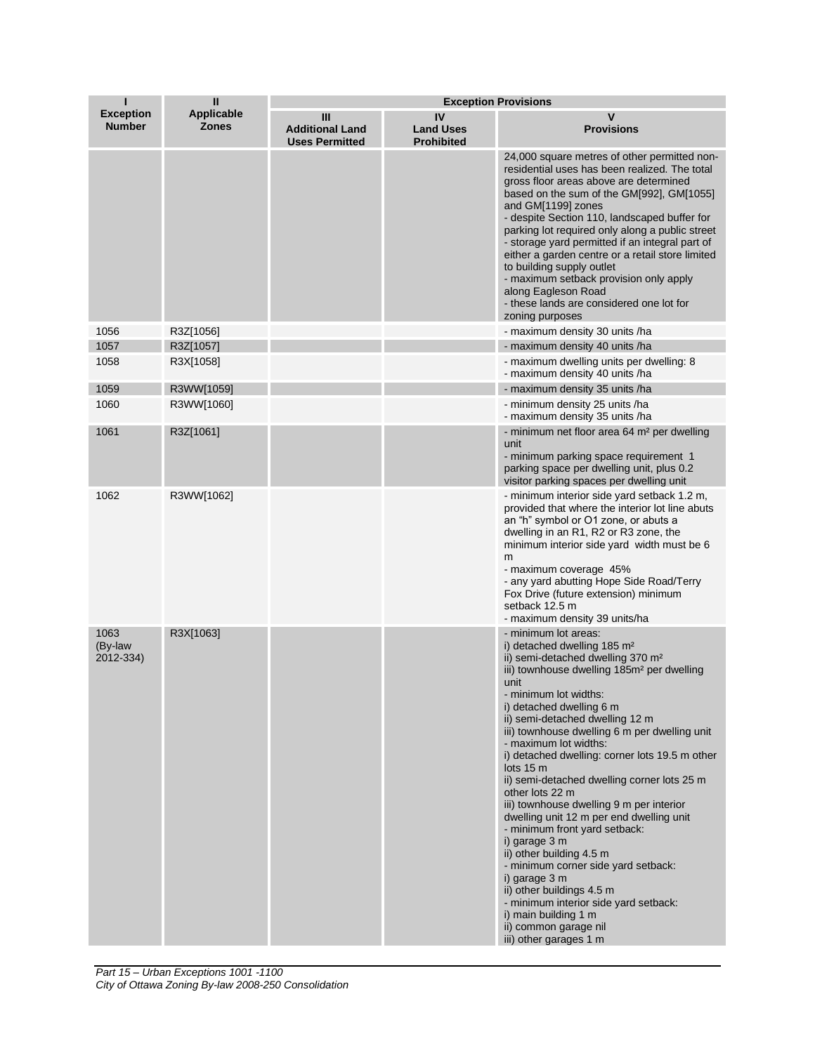|                                   | $\mathbf{I}$                      | <b>Exception Provisions</b>                          |                                             |                                                                                                                                                                                                                                                                                                                                                                                                                                                                                                                                                                                                                                                                                                                                                                                                                                                                       |
|-----------------------------------|-----------------------------------|------------------------------------------------------|---------------------------------------------|-----------------------------------------------------------------------------------------------------------------------------------------------------------------------------------------------------------------------------------------------------------------------------------------------------------------------------------------------------------------------------------------------------------------------------------------------------------------------------------------------------------------------------------------------------------------------------------------------------------------------------------------------------------------------------------------------------------------------------------------------------------------------------------------------------------------------------------------------------------------------|
| <b>Exception</b><br><b>Number</b> | <b>Applicable</b><br><b>Zones</b> | Ш<br><b>Additional Land</b><br><b>Uses Permitted</b> | IV<br><b>Land Uses</b><br><b>Prohibited</b> | v<br><b>Provisions</b>                                                                                                                                                                                                                                                                                                                                                                                                                                                                                                                                                                                                                                                                                                                                                                                                                                                |
|                                   |                                   |                                                      |                                             | 24,000 square metres of other permitted non-<br>residential uses has been realized. The total<br>gross floor areas above are determined<br>based on the sum of the GM[992], GM[1055]<br>and GM[1199] zones<br>- despite Section 110, landscaped buffer for<br>parking lot required only along a public street<br>- storage yard permitted if an integral part of<br>either a garden centre or a retail store limited<br>to building supply outlet<br>- maximum setback provision only apply<br>along Eagleson Road<br>- these lands are considered one lot for<br>zoning purposes                                                                                                                                                                                                                                                                                     |
| 1056                              | R3Z[1056]                         |                                                      |                                             | - maximum density 30 units /ha                                                                                                                                                                                                                                                                                                                                                                                                                                                                                                                                                                                                                                                                                                                                                                                                                                        |
| 1057                              | R3Z[1057]                         |                                                      |                                             | - maximum density 40 units /ha                                                                                                                                                                                                                                                                                                                                                                                                                                                                                                                                                                                                                                                                                                                                                                                                                                        |
| 1058                              | R3X[1058]                         |                                                      |                                             | - maximum dwelling units per dwelling: 8<br>- maximum density 40 units /ha                                                                                                                                                                                                                                                                                                                                                                                                                                                                                                                                                                                                                                                                                                                                                                                            |
| 1059                              | R3WW[1059]                        |                                                      |                                             | - maximum density 35 units /ha                                                                                                                                                                                                                                                                                                                                                                                                                                                                                                                                                                                                                                                                                                                                                                                                                                        |
| 1060                              | R3WW[1060]                        |                                                      |                                             | - minimum density 25 units /ha<br>- maximum density 35 units /ha                                                                                                                                                                                                                                                                                                                                                                                                                                                                                                                                                                                                                                                                                                                                                                                                      |
| 1061                              | R3Z[1061]                         |                                                      |                                             | - minimum net floor area 64 m <sup>2</sup> per dwelling<br>unit<br>- minimum parking space requirement 1<br>parking space per dwelling unit, plus 0.2<br>visitor parking spaces per dwelling unit                                                                                                                                                                                                                                                                                                                                                                                                                                                                                                                                                                                                                                                                     |
| 1062                              | R3WW[1062]                        |                                                      |                                             | - minimum interior side yard setback 1.2 m,<br>provided that where the interior lot line abuts<br>an "h" symbol or O1 zone, or abuts a<br>dwelling in an R1, R2 or R3 zone, the<br>minimum interior side yard width must be 6<br>m<br>- maximum coverage 45%<br>- any yard abutting Hope Side Road/Terry<br>Fox Drive (future extension) minimum<br>setback 12.5 m<br>- maximum density 39 units/ha                                                                                                                                                                                                                                                                                                                                                                                                                                                                   |
| 1063<br>(By-law<br>2012-334)      | R3X[1063]                         |                                                      |                                             | - minimum lot areas:<br>i) detached dwelling 185 m <sup>2</sup><br>ii) semi-detached dwelling 370 m <sup>2</sup><br>iii) townhouse dwelling 185m <sup>2</sup> per dwelling<br>unit<br>- minimum lot widths:<br>i) detached dwelling 6 m<br>ii) semi-detached dwelling 12 m<br>iii) townhouse dwelling 6 m per dwelling unit<br>- maximum lot widths:<br>i) detached dwelling: corner lots 19.5 m other<br>lots $15m$<br>ii) semi-detached dwelling corner lots 25 m<br>other lots 22 m<br>iii) townhouse dwelling 9 m per interior<br>dwelling unit 12 m per end dwelling unit<br>- minimum front yard setback:<br>i) garage 3 m<br>ii) other building 4.5 m<br>- minimum corner side yard setback:<br>i) garage 3 m<br>ii) other buildings 4.5 m<br>- minimum interior side yard setback:<br>i) main building 1 m<br>ii) common garage nil<br>iii) other garages 1 m |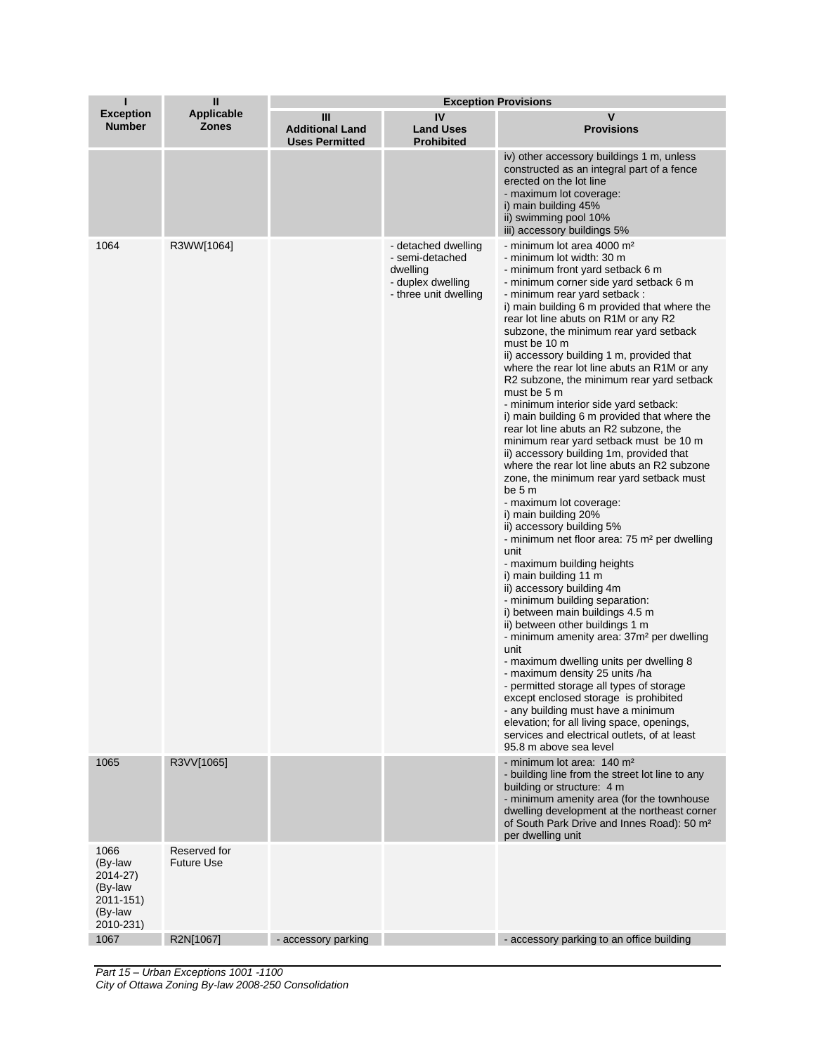| $\mathbf{u}$<br>п<br><b>Exception Provisions</b>                            |                                   |                                                      |                                                                                                  |                                                                                                                                                                                                                                                                                                                                                                                                                                                                                                                                                                                                                                                                                                                                                                                                                                                                                                                                                                                                                                                                                                                                                                                                                                                                                                                                                                                                                                                                                                                                                                             |
|-----------------------------------------------------------------------------|-----------------------------------|------------------------------------------------------|--------------------------------------------------------------------------------------------------|-----------------------------------------------------------------------------------------------------------------------------------------------------------------------------------------------------------------------------------------------------------------------------------------------------------------------------------------------------------------------------------------------------------------------------------------------------------------------------------------------------------------------------------------------------------------------------------------------------------------------------------------------------------------------------------------------------------------------------------------------------------------------------------------------------------------------------------------------------------------------------------------------------------------------------------------------------------------------------------------------------------------------------------------------------------------------------------------------------------------------------------------------------------------------------------------------------------------------------------------------------------------------------------------------------------------------------------------------------------------------------------------------------------------------------------------------------------------------------------------------------------------------------------------------------------------------------|
| <b>Exception</b><br><b>Number</b>                                           | <b>Applicable</b><br><b>Zones</b> | Ш<br><b>Additional Land</b><br><b>Uses Permitted</b> | IV<br><b>Land Uses</b><br><b>Prohibited</b>                                                      | V<br><b>Provisions</b>                                                                                                                                                                                                                                                                                                                                                                                                                                                                                                                                                                                                                                                                                                                                                                                                                                                                                                                                                                                                                                                                                                                                                                                                                                                                                                                                                                                                                                                                                                                                                      |
|                                                                             |                                   |                                                      |                                                                                                  | iv) other accessory buildings 1 m, unless<br>constructed as an integral part of a fence<br>erected on the lot line<br>- maximum lot coverage:<br>i) main building 45%<br>ii) swimming pool 10%<br>iii) accessory buildings 5%                                                                                                                                                                                                                                                                                                                                                                                                                                                                                                                                                                                                                                                                                                                                                                                                                                                                                                                                                                                                                                                                                                                                                                                                                                                                                                                                               |
| 1064                                                                        | R3WW[1064]                        |                                                      | - detached dwelling<br>- semi-detached<br>dwelling<br>- duplex dwelling<br>- three unit dwelling | - minimum lot area 4000 m <sup>2</sup><br>- minimum lot width: 30 m<br>- minimum front yard setback 6 m<br>- minimum corner side yard setback 6 m<br>- minimum rear yard setback :<br>i) main building 6 m provided that where the<br>rear lot line abuts on R1M or any R2<br>subzone, the minimum rear yard setback<br>must be 10 m<br>ii) accessory building 1 m, provided that<br>where the rear lot line abuts an R1M or any<br>R2 subzone, the minimum rear yard setback<br>must be 5 m<br>- minimum interior side yard setback:<br>i) main building 6 m provided that where the<br>rear lot line abuts an R2 subzone, the<br>minimum rear yard setback must be 10 m<br>ii) accessory building 1m, provided that<br>where the rear lot line abuts an R2 subzone<br>zone, the minimum rear yard setback must<br>be 5 m<br>- maximum lot coverage:<br>i) main building 20%<br>ii) accessory building 5%<br>- minimum net floor area: 75 m <sup>2</sup> per dwelling<br>unit<br>- maximum building heights<br>i) main building 11 m<br>ii) accessory building 4m<br>- minimum building separation:<br>i) between main buildings 4.5 m<br>ii) between other buildings 1 m<br>- minimum amenity area: 37m <sup>2</sup> per dwelling<br>unit<br>- maximum dwelling units per dwelling 8<br>- maximum density 25 units /ha<br>- permitted storage all types of storage<br>except enclosed storage is prohibited<br>- any building must have a minimum<br>elevation; for all living space, openings,<br>services and electrical outlets, of at least<br>95.8 m above sea level |
| 1065                                                                        | R3VV[1065]                        |                                                      |                                                                                                  | - minimum lot area: 140 m <sup>2</sup><br>- building line from the street lot line to any<br>building or structure: 4 m<br>- minimum amenity area (for the townhouse<br>dwelling development at the northeast corner<br>of South Park Drive and Innes Road): 50 m <sup>2</sup><br>per dwelling unit                                                                                                                                                                                                                                                                                                                                                                                                                                                                                                                                                                                                                                                                                                                                                                                                                                                                                                                                                                                                                                                                                                                                                                                                                                                                         |
| 1066<br>(By-law<br>2014-27)<br>(By-law<br>2011-151)<br>(By-law<br>2010-231) | Reserved for<br><b>Future Use</b> |                                                      |                                                                                                  |                                                                                                                                                                                                                                                                                                                                                                                                                                                                                                                                                                                                                                                                                                                                                                                                                                                                                                                                                                                                                                                                                                                                                                                                                                                                                                                                                                                                                                                                                                                                                                             |
| 1067                                                                        | R2N[1067]                         | - accessory parking                                  |                                                                                                  | - accessory parking to an office building                                                                                                                                                                                                                                                                                                                                                                                                                                                                                                                                                                                                                                                                                                                                                                                                                                                                                                                                                                                                                                                                                                                                                                                                                                                                                                                                                                                                                                                                                                                                   |

*Part 15 – Urban Exceptions 1001 -1100 City of Ottawa Zoning By-law 2008-250 Consolidation*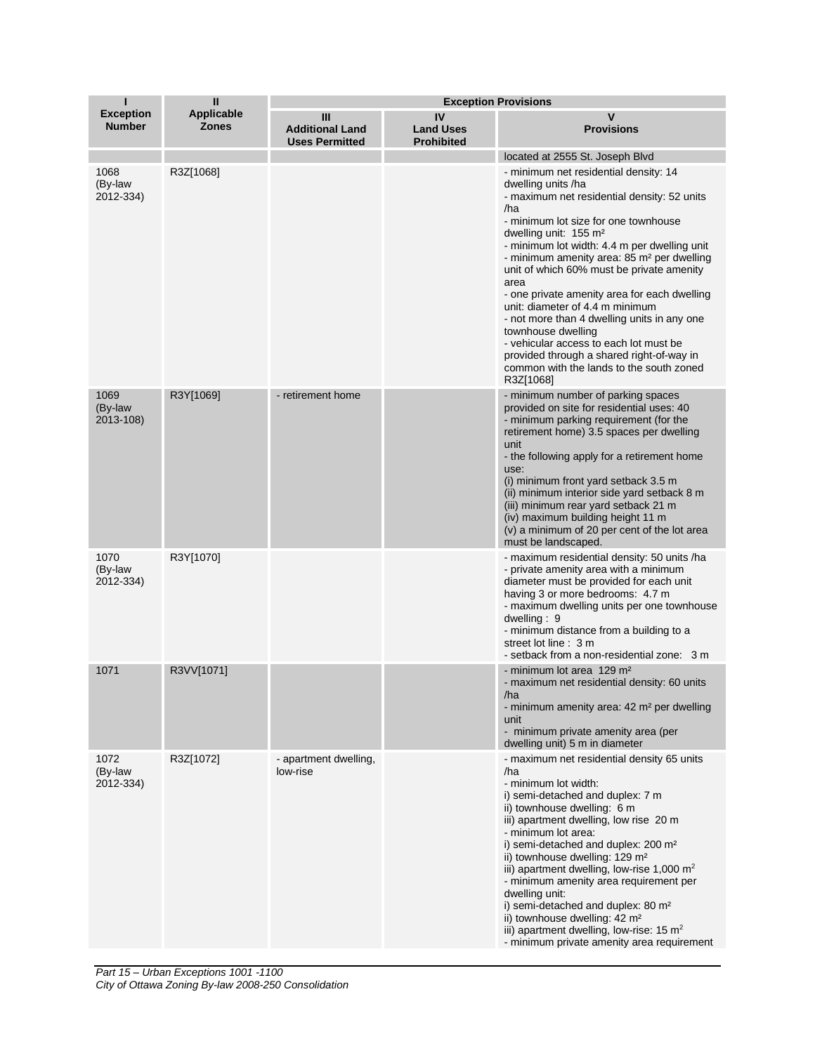| Т                                 | $\mathbf{H}$                      | <b>Exception Provisions</b>                          |                                             |                                                                                                                                                                                                                                                                                                                                                                                                                                                                                                                                                                                                                                                                       |
|-----------------------------------|-----------------------------------|------------------------------------------------------|---------------------------------------------|-----------------------------------------------------------------------------------------------------------------------------------------------------------------------------------------------------------------------------------------------------------------------------------------------------------------------------------------------------------------------------------------------------------------------------------------------------------------------------------------------------------------------------------------------------------------------------------------------------------------------------------------------------------------------|
| <b>Exception</b><br><b>Number</b> | <b>Applicable</b><br><b>Zones</b> | Ш<br><b>Additional Land</b><br><b>Uses Permitted</b> | IV<br><b>Land Uses</b><br><b>Prohibited</b> | $\mathbf v$<br><b>Provisions</b>                                                                                                                                                                                                                                                                                                                                                                                                                                                                                                                                                                                                                                      |
|                                   |                                   |                                                      |                                             | located at 2555 St. Joseph Blvd                                                                                                                                                                                                                                                                                                                                                                                                                                                                                                                                                                                                                                       |
| 1068<br>(By-law<br>2012-334)      | R3Z[1068]                         |                                                      |                                             | - minimum net residential density: 14<br>dwelling units /ha<br>- maximum net residential density: 52 units<br>/ha<br>- minimum lot size for one townhouse<br>dwelling unit: 155 m <sup>2</sup><br>- minimum lot width: 4.4 m per dwelling unit<br>- minimum amenity area: 85 m <sup>2</sup> per dwelling<br>unit of which 60% must be private amenity<br>area<br>- one private amenity area for each dwelling<br>unit: diameter of 4.4 m minimum<br>- not more than 4 dwelling units in any one<br>townhouse dwelling<br>- vehicular access to each lot must be<br>provided through a shared right-of-way in<br>common with the lands to the south zoned<br>R3Z[1068] |
| 1069<br>(By-law<br>2013-108)      | R3Y[1069]                         | - retirement home                                    |                                             | - minimum number of parking spaces<br>provided on site for residential uses: 40<br>- minimum parking requirement (for the<br>retirement home) 3.5 spaces per dwelling<br>unit<br>- the following apply for a retirement home<br>use:<br>(i) minimum front yard setback 3.5 m<br>(ii) minimum interior side yard setback 8 m<br>(iii) minimum rear yard setback 21 m<br>(iv) maximum building height 11 m<br>(v) a minimum of 20 per cent of the lot area<br>must be landscaped.                                                                                                                                                                                       |
| 1070<br>(By-law<br>2012-334)      | R3Y[1070]                         |                                                      |                                             | - maximum residential density: 50 units /ha<br>- private amenity area with a minimum<br>diameter must be provided for each unit<br>having 3 or more bedrooms: 4.7 m<br>- maximum dwelling units per one townhouse<br>dwelling: $9$<br>- minimum distance from a building to a<br>street lot line: 3 m<br>- setback from a non-residential zone: 3 m                                                                                                                                                                                                                                                                                                                   |
| 1071                              | R3VV[1071]                        |                                                      |                                             | - minimum lot area 129 m <sup>2</sup><br>- maximum net residential density: 60 units<br>/ha<br>- minimum amenity area: 42 m <sup>2</sup> per dwelling<br>unit<br>- minimum private amenity area (per<br>dwelling unit) 5 m in diameter                                                                                                                                                                                                                                                                                                                                                                                                                                |
| 1072<br>(By-law<br>2012-334)      | R3Z[1072]                         | - apartment dwelling,<br>low-rise                    |                                             | - maximum net residential density 65 units<br>/ha<br>- minimum lot width:<br>i) semi-detached and duplex: 7 m<br>ii) townhouse dwelling: 6 m<br>iii) apartment dwelling, low rise 20 m<br>- minimum lot area:<br>i) semi-detached and duplex: 200 m <sup>2</sup><br>ii) townhouse dwelling: 129 m <sup>2</sup><br>iii) apartment dwelling, low-rise 1,000 $m2$<br>- minimum amenity area requirement per<br>dwelling unit:<br>i) semi-detached and duplex: 80 m <sup>2</sup><br>ii) townhouse dwelling: 42 m <sup>2</sup><br>iii) apartment dwelling, low-rise: 15 m <sup>2</sup><br>- minimum private amenity area requirement                                       |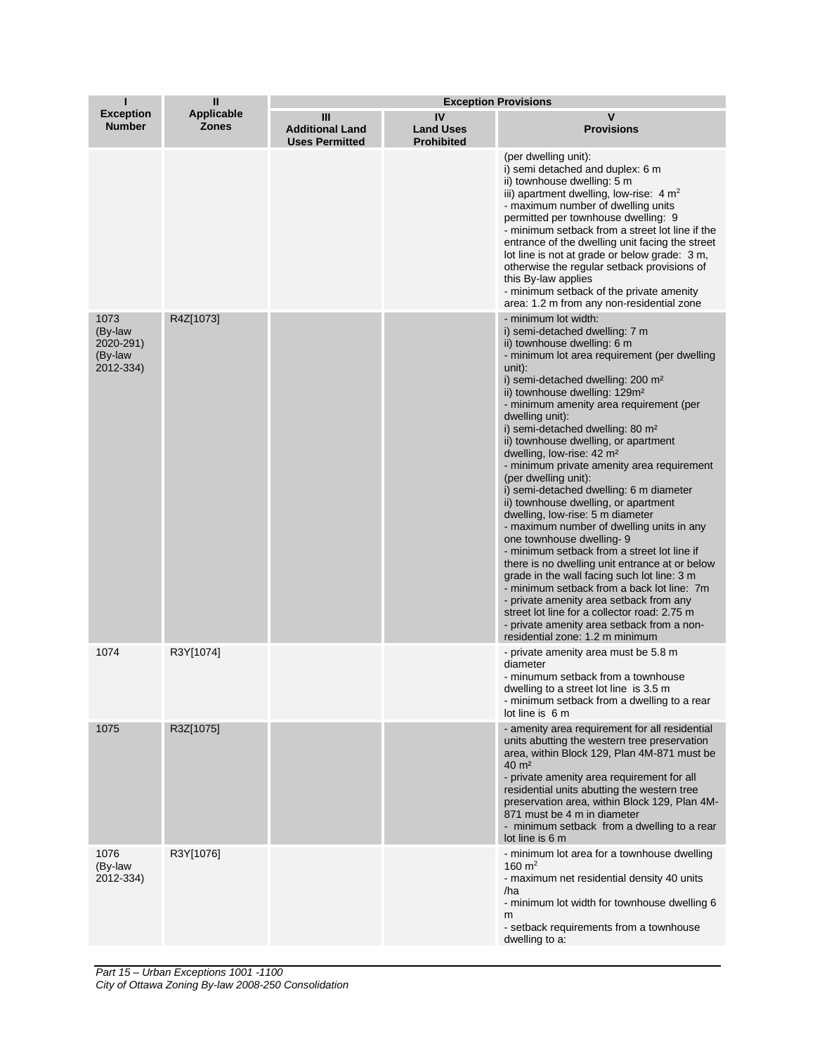| п                                                    | Ш                                 | <b>Exception Provisions</b>                          |                                             |                                                                                                                                                                                                                                                                                                                                                                                                                                                                                                                                                                                                                                                                                                                                                                                                                                                                                                                                                                                                                                                                                              |  |
|------------------------------------------------------|-----------------------------------|------------------------------------------------------|---------------------------------------------|----------------------------------------------------------------------------------------------------------------------------------------------------------------------------------------------------------------------------------------------------------------------------------------------------------------------------------------------------------------------------------------------------------------------------------------------------------------------------------------------------------------------------------------------------------------------------------------------------------------------------------------------------------------------------------------------------------------------------------------------------------------------------------------------------------------------------------------------------------------------------------------------------------------------------------------------------------------------------------------------------------------------------------------------------------------------------------------------|--|
| <b>Exception</b><br><b>Number</b>                    | <b>Applicable</b><br><b>Zones</b> | Ш<br><b>Additional Land</b><br><b>Uses Permitted</b> | IV<br><b>Land Uses</b><br><b>Prohibited</b> | v<br><b>Provisions</b>                                                                                                                                                                                                                                                                                                                                                                                                                                                                                                                                                                                                                                                                                                                                                                                                                                                                                                                                                                                                                                                                       |  |
|                                                      |                                   |                                                      |                                             | (per dwelling unit):<br>i) semi detached and duplex: 6 m<br>ii) townhouse dwelling: 5 m<br>iii) apartment dwelling, low-rise: $4 m2$<br>- maximum number of dwelling units<br>permitted per townhouse dwelling: 9<br>- minimum setback from a street lot line if the<br>entrance of the dwelling unit facing the street<br>lot line is not at grade or below grade: 3 m,<br>otherwise the regular setback provisions of<br>this By-law applies<br>- minimum setback of the private amenity<br>area: 1.2 m from any non-residential zone                                                                                                                                                                                                                                                                                                                                                                                                                                                                                                                                                      |  |
| 1073<br>(By-law<br>2020-291)<br>(By-law<br>2012-334) | R4Z[1073]                         |                                                      |                                             | - minimum lot width:<br>i) semi-detached dwelling: 7 m<br>ii) townhouse dwelling: 6 m<br>- minimum lot area requirement (per dwelling<br>unit):<br>i) semi-detached dwelling: 200 m <sup>2</sup><br>ii) townhouse dwelling: 129m <sup>2</sup><br>- minimum amenity area requirement (per<br>dwelling unit):<br>i) semi-detached dwelling: 80 m <sup>2</sup><br>ii) townhouse dwelling, or apartment<br>dwelling, low-rise: 42 m <sup>2</sup><br>- minimum private amenity area requirement<br>(per dwelling unit):<br>i) semi-detached dwelling: 6 m diameter<br>ii) townhouse dwelling, or apartment<br>dwelling, low-rise: 5 m diameter<br>- maximum number of dwelling units in any<br>one townhouse dwelling-9<br>- minimum setback from a street lot line if<br>there is no dwelling unit entrance at or below<br>grade in the wall facing such lot line: 3 m<br>- minimum setback from a back lot line: 7m<br>- private amenity area setback from any<br>street lot line for a collector road: 2.75 m<br>- private amenity area setback from a non-<br>residential zone: 1.2 m minimum |  |
| 1074                                                 | R3Y[1074]                         |                                                      |                                             | - private amenity area must be 5.8 m<br>diameter<br>- minumum setback from a townhouse<br>dwelling to a street lot line is 3.5 m<br>- minimum setback from a dwelling to a rear<br>lot line is 6 m                                                                                                                                                                                                                                                                                                                                                                                                                                                                                                                                                                                                                                                                                                                                                                                                                                                                                           |  |
| 1075                                                 | R3Z[1075]                         |                                                      |                                             | - amenity area requirement for all residential<br>units abutting the western tree preservation<br>area, within Block 129, Plan 4M-871 must be<br>$40 \text{ m}^2$<br>- private amenity area requirement for all<br>residential units abutting the western tree<br>preservation area, within Block 129, Plan 4M-<br>871 must be 4 m in diameter<br>- minimum setback from a dwelling to a rear<br>lot line is 6 m                                                                                                                                                                                                                                                                                                                                                                                                                                                                                                                                                                                                                                                                             |  |
| 1076<br>(By-law<br>2012-334)                         | R3Y[1076]                         |                                                      |                                             | - minimum lot area for a townhouse dwelling<br>160 $m^2$<br>- maximum net residential density 40 units<br>/ha<br>- minimum lot width for townhouse dwelling 6<br>m<br>- setback requirements from a townhouse<br>dwelling to a:                                                                                                                                                                                                                                                                                                                                                                                                                                                                                                                                                                                                                                                                                                                                                                                                                                                              |  |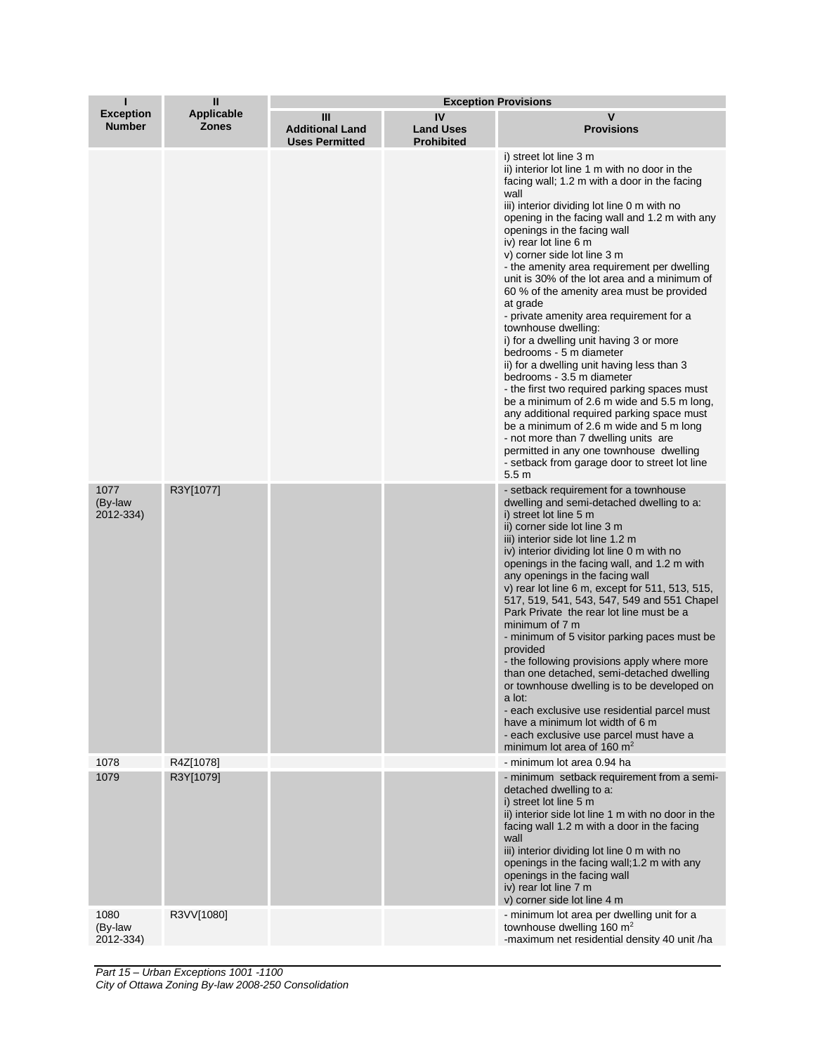| п                                 | Ш                                 | <b>Exception Provisions</b>                          |                                             |                                                                                                                                                                                                                                                                                                                                                                                                                                                                                                                                                                                                                                                                                                                                                                                                                                                                                                                                                                                                                                                   |  |
|-----------------------------------|-----------------------------------|------------------------------------------------------|---------------------------------------------|---------------------------------------------------------------------------------------------------------------------------------------------------------------------------------------------------------------------------------------------------------------------------------------------------------------------------------------------------------------------------------------------------------------------------------------------------------------------------------------------------------------------------------------------------------------------------------------------------------------------------------------------------------------------------------------------------------------------------------------------------------------------------------------------------------------------------------------------------------------------------------------------------------------------------------------------------------------------------------------------------------------------------------------------------|--|
| <b>Exception</b><br><b>Number</b> | <b>Applicable</b><br><b>Zones</b> | Ш<br><b>Additional Land</b><br><b>Uses Permitted</b> | IV<br><b>Land Uses</b><br><b>Prohibited</b> | v<br><b>Provisions</b>                                                                                                                                                                                                                                                                                                                                                                                                                                                                                                                                                                                                                                                                                                                                                                                                                                                                                                                                                                                                                            |  |
|                                   |                                   |                                                      |                                             | i) street lot line 3 m<br>ii) interior lot line 1 m with no door in the<br>facing wall; 1.2 m with a door in the facing<br>wall<br>iii) interior dividing lot line 0 m with no<br>opening in the facing wall and 1.2 m with any<br>openings in the facing wall<br>iv) rear lot line 6 m<br>v) corner side lot line 3 m<br>- the amenity area requirement per dwelling<br>unit is 30% of the lot area and a minimum of<br>60 % of the amenity area must be provided<br>at grade<br>- private amenity area requirement for a<br>townhouse dwelling:<br>i) for a dwelling unit having 3 or more<br>bedrooms - 5 m diameter<br>ii) for a dwelling unit having less than 3<br>bedrooms - 3.5 m diameter<br>- the first two required parking spaces must<br>be a minimum of 2.6 m wide and 5.5 m long,<br>any additional required parking space must<br>be a minimum of 2.6 m wide and 5 m long<br>- not more than 7 dwelling units are<br>permitted in any one townhouse dwelling<br>- setback from garage door to street lot line<br>5.5 <sub>m</sub> |  |
| 1077<br>(By-law<br>2012-334)      | R3Y[1077]                         |                                                      |                                             | - setback requirement for a townhouse<br>dwelling and semi-detached dwelling to a:<br>i) street lot line 5 m<br>ii) corner side lot line 3 m<br>iii) interior side lot line 1.2 m<br>iv) interior dividing lot line 0 m with no<br>openings in the facing wall, and 1.2 m with<br>any openings in the facing wall<br>v) rear lot line 6 m, except for 511, 513, 515,<br>517, 519, 541, 543, 547, 549 and 551 Chapel<br>Park Private the rear lot line must be a<br>minimum of 7 m<br>- minimum of 5 visitor parking paces must be<br>provided<br>- the following provisions apply where more<br>than one detached, semi-detached dwelling<br>or townhouse dwelling is to be developed on<br>a lot:<br>- each exclusive use residential parcel must<br>have a minimum lot width of 6 m<br>- each exclusive use parcel must have a<br>minimum lot area of 160 $m2$                                                                                                                                                                                  |  |
| 1078<br>1079                      | R4Z[1078]<br>R3Y[1079]            |                                                      |                                             | - minimum lot area 0.94 ha<br>- minimum setback requirement from a semi-<br>detached dwelling to a:<br>i) street lot line 5 m<br>ii) interior side lot line 1 m with no door in the<br>facing wall 1.2 m with a door in the facing<br>wall<br>iii) interior dividing lot line 0 m with no<br>openings in the facing wall; 1.2 m with any<br>openings in the facing wall<br>iv) rear lot line 7 m<br>v) corner side lot line 4 m                                                                                                                                                                                                                                                                                                                                                                                                                                                                                                                                                                                                                   |  |
| 1080<br>(By-law<br>2012-334)      | R3VV[1080]                        |                                                      |                                             | - minimum lot area per dwelling unit for a<br>townhouse dwelling 160 m <sup>2</sup><br>-maximum net residential density 40 unit /ha                                                                                                                                                                                                                                                                                                                                                                                                                                                                                                                                                                                                                                                                                                                                                                                                                                                                                                               |  |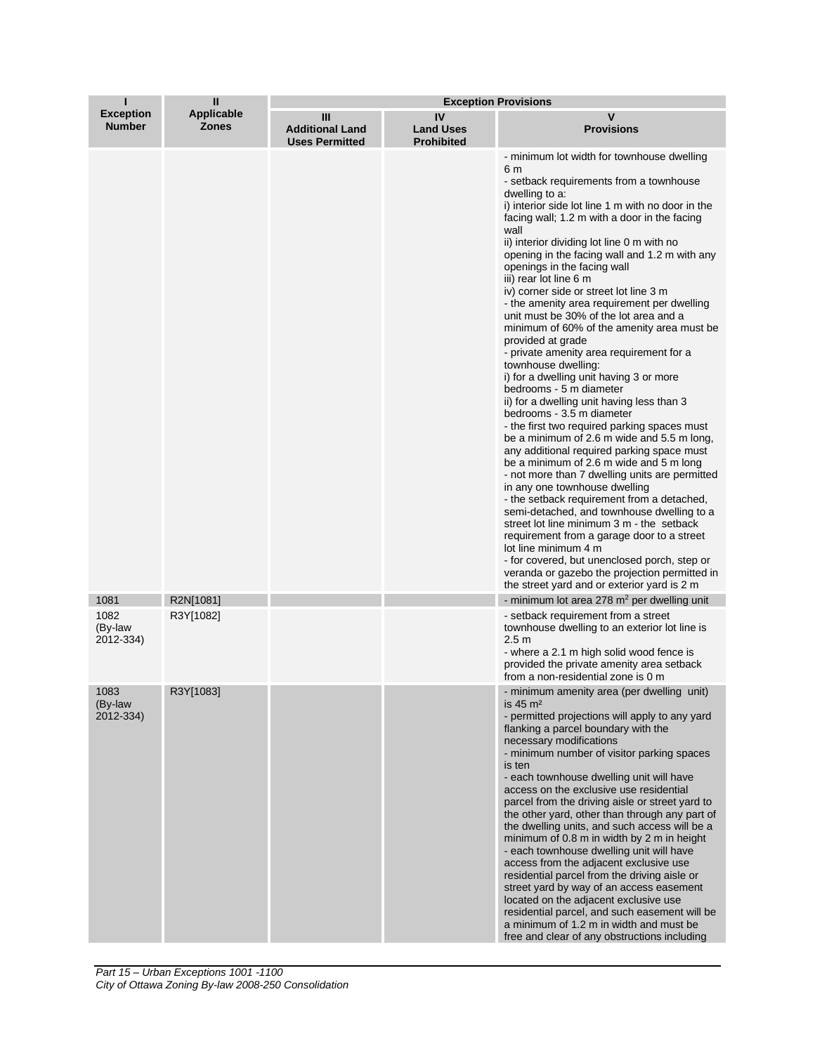| Т                                 | Ш                                 | <b>Exception Provisions</b>                          |                                             |                                                                                                                                                                                                                                                                                                                                                                                                                                                                                                                                                                                                                                                                                                                                                                                                                                                                                                                                                                                                                                                                                                                                                                                                                                                                                                                                                                                                                                                        |
|-----------------------------------|-----------------------------------|------------------------------------------------------|---------------------------------------------|--------------------------------------------------------------------------------------------------------------------------------------------------------------------------------------------------------------------------------------------------------------------------------------------------------------------------------------------------------------------------------------------------------------------------------------------------------------------------------------------------------------------------------------------------------------------------------------------------------------------------------------------------------------------------------------------------------------------------------------------------------------------------------------------------------------------------------------------------------------------------------------------------------------------------------------------------------------------------------------------------------------------------------------------------------------------------------------------------------------------------------------------------------------------------------------------------------------------------------------------------------------------------------------------------------------------------------------------------------------------------------------------------------------------------------------------------------|
| <b>Exception</b><br><b>Number</b> | <b>Applicable</b><br><b>Zones</b> | Ш<br><b>Additional Land</b><br><b>Uses Permitted</b> | IV<br><b>Land Uses</b><br><b>Prohibited</b> | v<br><b>Provisions</b>                                                                                                                                                                                                                                                                                                                                                                                                                                                                                                                                                                                                                                                                                                                                                                                                                                                                                                                                                                                                                                                                                                                                                                                                                                                                                                                                                                                                                                 |
|                                   |                                   |                                                      |                                             | - minimum lot width for townhouse dwelling<br>6 m<br>- setback requirements from a townhouse<br>dwelling to a:<br>i) interior side lot line 1 m with no door in the<br>facing wall; 1.2 m with a door in the facing<br>wall<br>ii) interior dividing lot line 0 m with no<br>opening in the facing wall and 1.2 m with any<br>openings in the facing wall<br>iii) rear lot line 6 m<br>iv) corner side or street lot line 3 m<br>- the amenity area requirement per dwelling<br>unit must be 30% of the lot area and a<br>minimum of 60% of the amenity area must be<br>provided at grade<br>- private amenity area requirement for a<br>townhouse dwelling:<br>i) for a dwelling unit having 3 or more<br>bedrooms - 5 m diameter<br>ii) for a dwelling unit having less than 3<br>bedrooms - 3.5 m diameter<br>- the first two required parking spaces must<br>be a minimum of 2.6 m wide and 5.5 m long,<br>any additional required parking space must<br>be a minimum of 2.6 m wide and 5 m long<br>- not more than 7 dwelling units are permitted<br>in any one townhouse dwelling<br>- the setback requirement from a detached,<br>semi-detached, and townhouse dwelling to a<br>street lot line minimum 3 m - the setback<br>requirement from a garage door to a street<br>lot line minimum 4 m<br>- for covered, but unenclosed porch, step or<br>veranda or gazebo the projection permitted in<br>the street yard and or exterior yard is 2 m |
| 1081                              | R2N[1081]                         |                                                      |                                             | - minimum lot area 278 $m2$ per dwelling unit                                                                                                                                                                                                                                                                                                                                                                                                                                                                                                                                                                                                                                                                                                                                                                                                                                                                                                                                                                                                                                                                                                                                                                                                                                                                                                                                                                                                          |
| 1082<br>(By-law<br>2012-334)      | R3Y[1082]                         |                                                      |                                             | - setback requirement from a street<br>townhouse dwelling to an exterior lot line is<br>2.5 <sub>m</sub><br>- where a 2.1 m high solid wood fence is<br>provided the private amenity area setback<br>from a non-residential zone is 0 m                                                                                                                                                                                                                                                                                                                                                                                                                                                                                                                                                                                                                                                                                                                                                                                                                                                                                                                                                                                                                                                                                                                                                                                                                |
| 1083<br>(By-law<br>2012-334)      | R3Y[1083]                         |                                                      |                                             | - minimum amenity area (per dwelling unit)<br>is $45 \text{ m}^2$<br>- permitted projections will apply to any yard<br>flanking a parcel boundary with the<br>necessary modifications<br>- minimum number of visitor parking spaces<br>is ten<br>- each townhouse dwelling unit will have<br>access on the exclusive use residential<br>parcel from the driving aisle or street yard to<br>the other yard, other than through any part of<br>the dwelling units, and such access will be a<br>minimum of 0.8 m in width by 2 m in height<br>- each townhouse dwelling unit will have<br>access from the adjacent exclusive use<br>residential parcel from the driving aisle or<br>street yard by way of an access easement<br>located on the adjacent exclusive use<br>residential parcel, and such easement will be<br>a minimum of 1.2 m in width and must be<br>free and clear of any obstructions including                                                                                                                                                                                                                                                                                                                                                                                                                                                                                                                                        |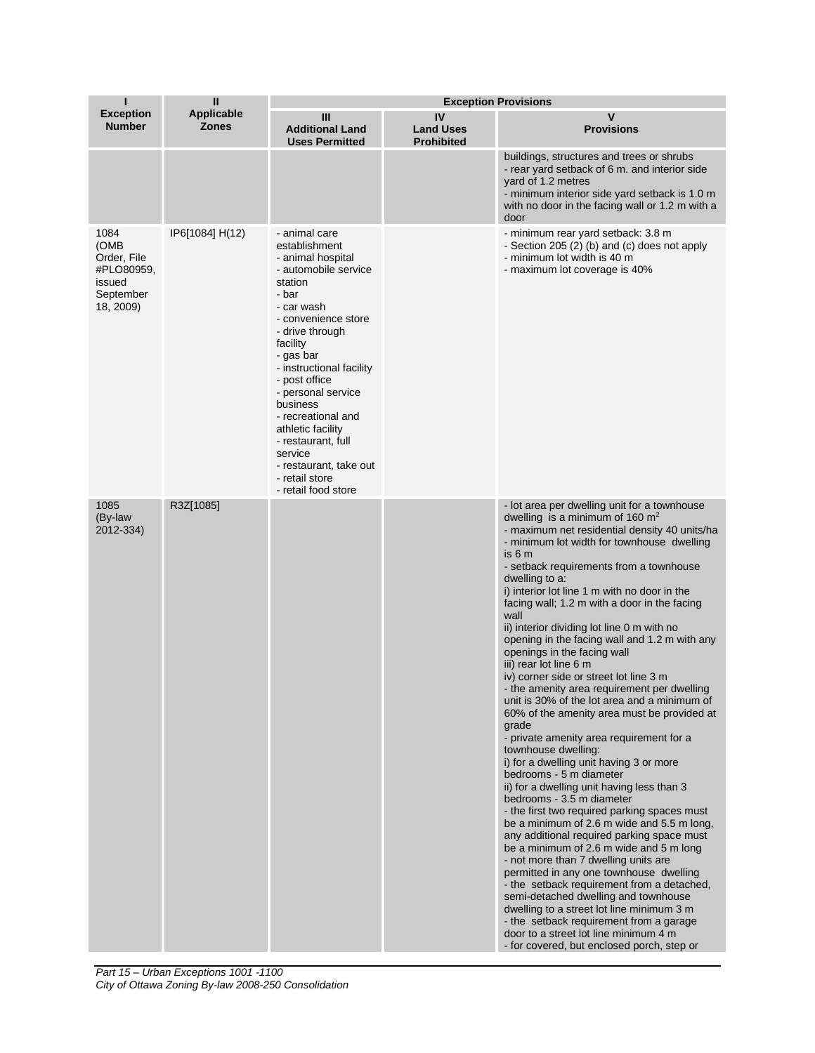| Т                                                                             | $\mathbf{H}$                      |                                                                                                                                                                                                                                                                                                                                                                                                                | <b>Exception Provisions</b>                 |                                                                                                                                                                                                                                                                                                                                                                                                                                                                                                                                                                                                                                                                                                                                                                                                                                                                                                                                                                                                                                                                                                                                                                                                                                                                                                                                                                                                                                                                                             |
|-------------------------------------------------------------------------------|-----------------------------------|----------------------------------------------------------------------------------------------------------------------------------------------------------------------------------------------------------------------------------------------------------------------------------------------------------------------------------------------------------------------------------------------------------------|---------------------------------------------|---------------------------------------------------------------------------------------------------------------------------------------------------------------------------------------------------------------------------------------------------------------------------------------------------------------------------------------------------------------------------------------------------------------------------------------------------------------------------------------------------------------------------------------------------------------------------------------------------------------------------------------------------------------------------------------------------------------------------------------------------------------------------------------------------------------------------------------------------------------------------------------------------------------------------------------------------------------------------------------------------------------------------------------------------------------------------------------------------------------------------------------------------------------------------------------------------------------------------------------------------------------------------------------------------------------------------------------------------------------------------------------------------------------------------------------------------------------------------------------------|
| <b>Exception</b><br><b>Number</b>                                             | <b>Applicable</b><br><b>Zones</b> | Ш<br><b>Additional Land</b><br><b>Uses Permitted</b>                                                                                                                                                                                                                                                                                                                                                           | IV<br><b>Land Uses</b><br><b>Prohibited</b> | V<br><b>Provisions</b>                                                                                                                                                                                                                                                                                                                                                                                                                                                                                                                                                                                                                                                                                                                                                                                                                                                                                                                                                                                                                                                                                                                                                                                                                                                                                                                                                                                                                                                                      |
|                                                                               |                                   |                                                                                                                                                                                                                                                                                                                                                                                                                |                                             | buildings, structures and trees or shrubs<br>- rear yard setback of 6 m. and interior side<br>yard of 1.2 metres<br>- minimum interior side yard setback is 1.0 m<br>with no door in the facing wall or 1.2 m with a<br>door                                                                                                                                                                                                                                                                                                                                                                                                                                                                                                                                                                                                                                                                                                                                                                                                                                                                                                                                                                                                                                                                                                                                                                                                                                                                |
| 1084<br>(OMB<br>Order, File<br>#PLO80959,<br>issued<br>September<br>18, 2009) | IP6[1084] H(12)                   | - animal care<br>establishment<br>- animal hospital<br>- automobile service<br>station<br>- bar<br>- car wash<br>- convenience store<br>- drive through<br>facility<br>- gas bar<br>- instructional facility<br>- post office<br>- personal service<br>business<br>- recreational and<br>athletic facility<br>- restaurant, full<br>service<br>- restaurant, take out<br>- retail store<br>- retail food store |                                             | - minimum rear yard setback: 3.8 m<br>- Section 205 (2) (b) and (c) does not apply<br>- minimum lot width is 40 m<br>- maximum lot coverage is 40%                                                                                                                                                                                                                                                                                                                                                                                                                                                                                                                                                                                                                                                                                                                                                                                                                                                                                                                                                                                                                                                                                                                                                                                                                                                                                                                                          |
| 1085<br>(By-law<br>2012-334)                                                  | R3Z[1085]                         |                                                                                                                                                                                                                                                                                                                                                                                                                |                                             | - lot area per dwelling unit for a townhouse<br>dwelling is a minimum of 160 $m2$<br>- maximum net residential density 40 units/ha<br>- minimum lot width for townhouse dwelling<br>is 6 m<br>- setback requirements from a townhouse<br>dwelling to a:<br>i) interior lot line 1 m with no door in the<br>facing wall; 1.2 m with a door in the facing<br>wall<br>ii) interior dividing lot line 0 m with no<br>opening in the facing wall and 1.2 m with any<br>openings in the facing wall<br>iii) rear lot line 6 m<br>iv) corner side or street lot line 3 m<br>- the amenity area requirement per dwelling<br>unit is 30% of the lot area and a minimum of<br>60% of the amenity area must be provided at<br>grade<br>- private amenity area requirement for a<br>townhouse dwelling:<br>i) for a dwelling unit having 3 or more<br>bedrooms - 5 m diameter<br>ii) for a dwelling unit having less than 3<br>bedrooms - 3.5 m diameter<br>- the first two required parking spaces must<br>be a minimum of 2.6 m wide and 5.5 m long,<br>any additional required parking space must<br>be a minimum of 2.6 m wide and 5 m long<br>- not more than 7 dwelling units are<br>permitted in any one townhouse dwelling<br>- the setback requirement from a detached,<br>semi-detached dwelling and townhouse<br>dwelling to a street lot line minimum 3 m<br>- the setback requirement from a garage<br>door to a street lot line minimum 4 m<br>- for covered, but enclosed porch, step or |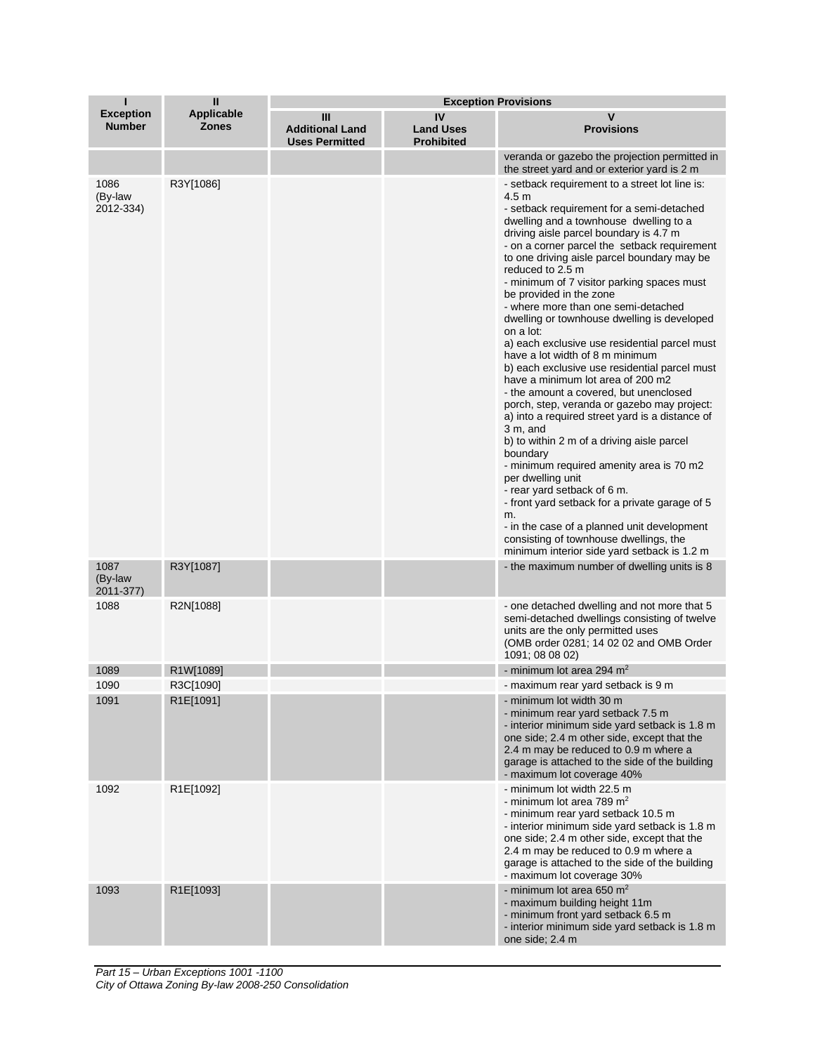| п                                 | Ш                                 | <b>Exception Provisions</b>                                     |                                             |                                                                                                                                                                                                                                                                                                                                                                                                                                                                                                                                                                                                                                                                                                                                                                                                                                                                                                                                                                                                                                                                                                                                                                                                |
|-----------------------------------|-----------------------------------|-----------------------------------------------------------------|---------------------------------------------|------------------------------------------------------------------------------------------------------------------------------------------------------------------------------------------------------------------------------------------------------------------------------------------------------------------------------------------------------------------------------------------------------------------------------------------------------------------------------------------------------------------------------------------------------------------------------------------------------------------------------------------------------------------------------------------------------------------------------------------------------------------------------------------------------------------------------------------------------------------------------------------------------------------------------------------------------------------------------------------------------------------------------------------------------------------------------------------------------------------------------------------------------------------------------------------------|
| <b>Exception</b><br><b>Number</b> | <b>Applicable</b><br><b>Zones</b> | $\mathbf{m}$<br><b>Additional Land</b><br><b>Uses Permitted</b> | IV<br><b>Land Uses</b><br><b>Prohibited</b> | v<br><b>Provisions</b>                                                                                                                                                                                                                                                                                                                                                                                                                                                                                                                                                                                                                                                                                                                                                                                                                                                                                                                                                                                                                                                                                                                                                                         |
|                                   |                                   |                                                                 |                                             | veranda or gazebo the projection permitted in<br>the street yard and or exterior yard is 2 m                                                                                                                                                                                                                                                                                                                                                                                                                                                                                                                                                                                                                                                                                                                                                                                                                                                                                                                                                                                                                                                                                                   |
| 1086<br>(By-law<br>2012-334)      | R3Y[1086]                         |                                                                 |                                             | - setback requirement to a street lot line is:<br>4.5 <sub>m</sub><br>- setback requirement for a semi-detached<br>dwelling and a townhouse dwelling to a<br>driving aisle parcel boundary is 4.7 m<br>- on a corner parcel the setback requirement<br>to one driving aisle parcel boundary may be<br>reduced to 2.5 m<br>- minimum of 7 visitor parking spaces must<br>be provided in the zone<br>- where more than one semi-detached<br>dwelling or townhouse dwelling is developed<br>on a lot:<br>a) each exclusive use residential parcel must<br>have a lot width of 8 m minimum<br>b) each exclusive use residential parcel must<br>have a minimum lot area of 200 m2<br>- the amount a covered, but unenclosed<br>porch, step, veranda or gazebo may project:<br>a) into a required street yard is a distance of<br>3 m, and<br>b) to within 2 m of a driving aisle parcel<br>boundary<br>- minimum required amenity area is 70 m2<br>per dwelling unit<br>- rear yard setback of 6 m.<br>- front yard setback for a private garage of 5<br>m.<br>- in the case of a planned unit development<br>consisting of townhouse dwellings, the<br>minimum interior side yard setback is 1.2 m |
| 1087<br>(By-law<br>2011-377)      | R3Y[1087]                         |                                                                 |                                             | the maximum number of dwelling units is 8                                                                                                                                                                                                                                                                                                                                                                                                                                                                                                                                                                                                                                                                                                                                                                                                                                                                                                                                                                                                                                                                                                                                                      |
| 1088                              | R2N[1088]                         |                                                                 |                                             | - one detached dwelling and not more that 5<br>semi-detached dwellings consisting of twelve<br>units are the only permitted uses<br>(OMB order 0281; 14 02 02 and OMB Order<br>1091; 08 08 02)                                                                                                                                                                                                                                                                                                                                                                                                                                                                                                                                                                                                                                                                                                                                                                                                                                                                                                                                                                                                 |
| 1089                              | R1W[1089]                         |                                                                 |                                             | - minimum lot area 294 $m2$                                                                                                                                                                                                                                                                                                                                                                                                                                                                                                                                                                                                                                                                                                                                                                                                                                                                                                                                                                                                                                                                                                                                                                    |
| 1090                              | R3C[1090]                         |                                                                 |                                             | - maximum rear yard setback is 9 m                                                                                                                                                                                                                                                                                                                                                                                                                                                                                                                                                                                                                                                                                                                                                                                                                                                                                                                                                                                                                                                                                                                                                             |
| 1091                              | R1E[1091]                         |                                                                 |                                             | - minimum lot width 30 m<br>- minimum rear yard setback 7.5 m<br>- interior minimum side yard setback is 1.8 m<br>one side; 2.4 m other side, except that the<br>2.4 m may be reduced to 0.9 m where a<br>garage is attached to the side of the building<br>- maximum lot coverage 40%                                                                                                                                                                                                                                                                                                                                                                                                                                                                                                                                                                                                                                                                                                                                                                                                                                                                                                         |
| 1092                              | R1E[1092]                         |                                                                 |                                             | - minimum lot width 22.5 m<br>- minimum lot area 789 $m2$<br>- minimum rear yard setback 10.5 m<br>- interior minimum side yard setback is 1.8 m<br>one side; 2.4 m other side, except that the<br>2.4 m may be reduced to 0.9 m where a<br>garage is attached to the side of the building<br>- maximum lot coverage 30%                                                                                                                                                                                                                                                                                                                                                                                                                                                                                                                                                                                                                                                                                                                                                                                                                                                                       |
| 1093                              | R1E[1093]                         |                                                                 |                                             | - minimum lot area 650 $m2$<br>- maximum building height 11m<br>- minimum front yard setback 6.5 m<br>- interior minimum side yard setback is 1.8 m<br>one side; 2.4 m                                                                                                                                                                                                                                                                                                                                                                                                                                                                                                                                                                                                                                                                                                                                                                                                                                                                                                                                                                                                                         |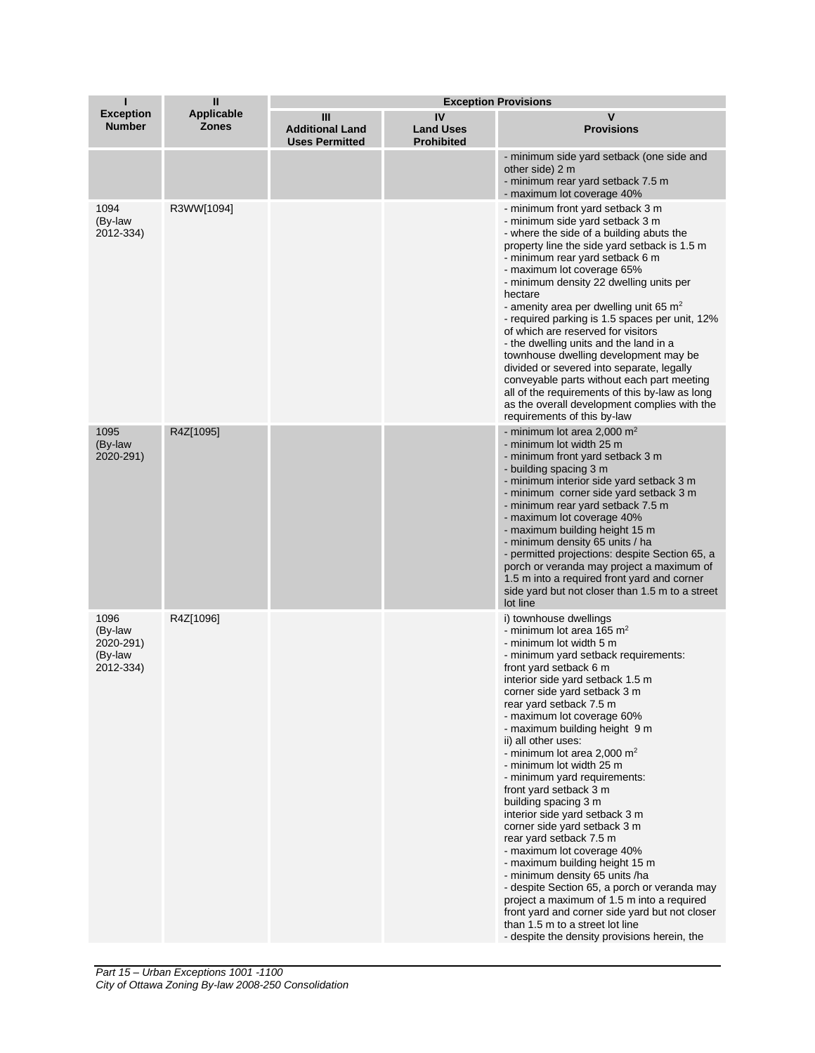| П                                                    | $\mathbf{I}$                      | <b>Exception Provisions</b>                          |                                             |                                                                                                                                                                                                                                                                                                                                                                                                                                                                                                                                                                                                                                                                                                                                                                                                                                                                                                                                              |
|------------------------------------------------------|-----------------------------------|------------------------------------------------------|---------------------------------------------|----------------------------------------------------------------------------------------------------------------------------------------------------------------------------------------------------------------------------------------------------------------------------------------------------------------------------------------------------------------------------------------------------------------------------------------------------------------------------------------------------------------------------------------------------------------------------------------------------------------------------------------------------------------------------------------------------------------------------------------------------------------------------------------------------------------------------------------------------------------------------------------------------------------------------------------------|
| <b>Exception</b><br><b>Number</b>                    | <b>Applicable</b><br><b>Zones</b> | Ш<br><b>Additional Land</b><br><b>Uses Permitted</b> | IV<br><b>Land Uses</b><br><b>Prohibited</b> | $\mathbf v$<br><b>Provisions</b>                                                                                                                                                                                                                                                                                                                                                                                                                                                                                                                                                                                                                                                                                                                                                                                                                                                                                                             |
|                                                      |                                   |                                                      |                                             | - minimum side yard setback (one side and<br>other side) 2 m<br>- minimum rear yard setback 7.5 m<br>- maximum lot coverage 40%                                                                                                                                                                                                                                                                                                                                                                                                                                                                                                                                                                                                                                                                                                                                                                                                              |
| 1094<br>(By-law<br>2012-334)                         | R3WW[1094]                        |                                                      |                                             | - minimum front yard setback 3 m<br>- minimum side yard setback 3 m<br>- where the side of a building abuts the<br>property line the side yard setback is 1.5 m<br>- minimum rear yard setback 6 m<br>- maximum lot coverage 65%<br>- minimum density 22 dwelling units per<br>hectare<br>- amenity area per dwelling unit 65 $m2$<br>- required parking is 1.5 spaces per unit, 12%<br>of which are reserved for visitors<br>- the dwelling units and the land in a<br>townhouse dwelling development may be<br>divided or severed into separate, legally<br>conveyable parts without each part meeting<br>all of the requirements of this by-law as long<br>as the overall development complies with the<br>requirements of this by-law                                                                                                                                                                                                    |
| 1095<br>(By-law<br>2020-291)                         | R4Z[1095]                         |                                                      |                                             | - minimum lot area 2,000 $m2$<br>- minimum lot width 25 m<br>- minimum front yard setback 3 m<br>- building spacing 3 m<br>- minimum interior side yard setback 3 m<br>- minimum corner side yard setback 3 m<br>- minimum rear yard setback 7.5 m<br>- maximum lot coverage 40%<br>- maximum building height 15 m<br>- minimum density 65 units / ha<br>- permitted projections: despite Section 65, a<br>porch or veranda may project a maximum of<br>1.5 m into a required front yard and corner<br>side yard but not closer than 1.5 m to a street<br>lot line                                                                                                                                                                                                                                                                                                                                                                           |
| 1096<br>(By-law<br>2020-291)<br>(By-law<br>2012-334) | R4Z[1096]                         |                                                      |                                             | i) townhouse dwellings<br>- minimum lot area 165 m <sup>2</sup><br>- minimum lot width 5 m<br>- minimum yard setback requirements:<br>front yard setback 6 m<br>interior side yard setback 1.5 m<br>corner side yard setback 3 m<br>rear yard setback 7.5 m<br>- maximum lot coverage 60%<br>- maximum building height 9 m<br>ii) all other uses:<br>- minimum lot area 2,000 m <sup>2</sup><br>- minimum lot width 25 m<br>- minimum yard requirements:<br>front yard setback 3 m<br>building spacing 3 m<br>interior side yard setback 3 m<br>corner side yard setback 3 m<br>rear yard setback 7.5 m<br>- maximum lot coverage 40%<br>- maximum building height 15 m<br>- minimum density 65 units /ha<br>- despite Section 65, a porch or veranda may<br>project a maximum of 1.5 m into a required<br>front yard and corner side yard but not closer<br>than 1.5 m to a street lot line<br>- despite the density provisions herein, the |